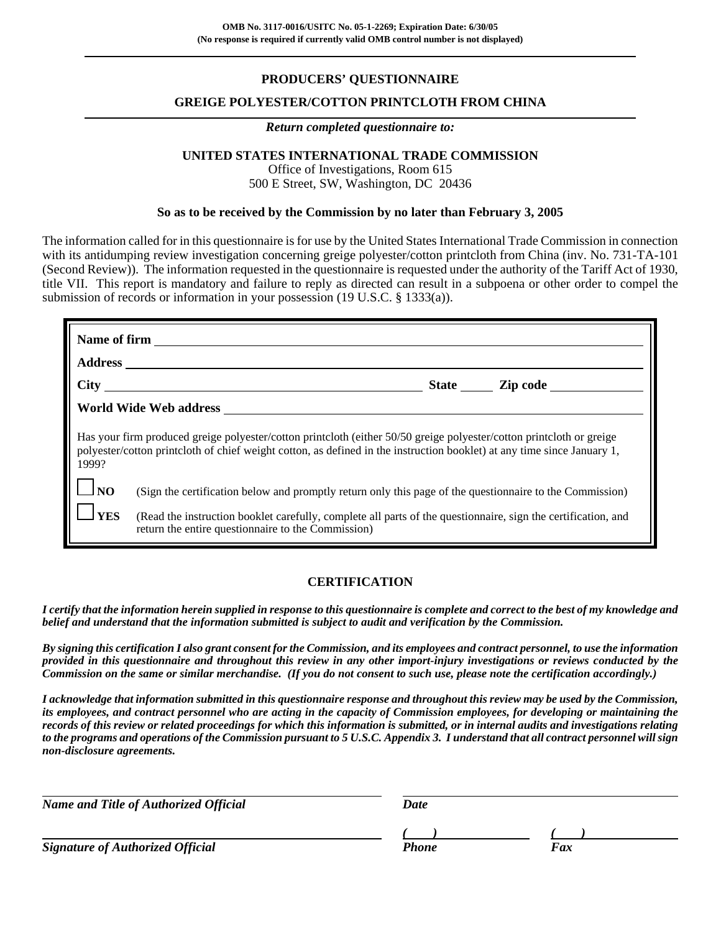# **PRODUCERS' QUESTIONNAIRE**

### **GREIGE POLYESTER/COTTON PRINTCLOTH FROM CHINA**

### *Return completed questionnaire to:*

# **UNITED STATES INTERNATIONAL TRADE COMMISSION**

Office of Investigations, Room 615 500 E Street, SW, Washington, DC 20436

### **So as to be received by the Commission by no later than February 3, 2005**

The information called for in this questionnaire is for use by the United States International Trade Commission in connection with its antidumping review investigation concerning greige polyester/cotton printcloth from China (inv. No. 731-TA-101) (Second Review)). The information requested in the questionnaire is requested under the authority of the Tariff Act of 1930, title VII. This report is mandatory and failure to reply as directed can result in a subpoena or other order to compel the submission of records or information in your possession (19 U.S.C. § 1333(a)).

|                                                                                                                                                                                                                                                          |                                                                                                                                                                     | State Zip code |  |  |  |  |
|----------------------------------------------------------------------------------------------------------------------------------------------------------------------------------------------------------------------------------------------------------|---------------------------------------------------------------------------------------------------------------------------------------------------------------------|----------------|--|--|--|--|
|                                                                                                                                                                                                                                                          | World Wide Web address                                                                                                                                              |                |  |  |  |  |
| Has your firm produced greige polyester/cotton printcloth (either 50/50 greige polyester/cotton printcloth or greige<br>polyester/cotton printcloth of chief weight cotton, as defined in the instruction booklet) at any time since January 1,<br>1999? |                                                                                                                                                                     |                |  |  |  |  |
| $\Box_{\rm NO}$                                                                                                                                                                                                                                          | (Sign the certification below and promptly return only this page of the questionnaire to the Commission)                                                            |                |  |  |  |  |
| <b>YES</b>                                                                                                                                                                                                                                               | (Read the instruction booklet carefully, complete all parts of the questionnaire, sign the certification, and<br>return the entire questionnaire to the Commission) |                |  |  |  |  |

## **CERTIFICATION**

*I certify that the information herein supplied in response to this questionnaire is complete and correct to the best of my knowledge and belief and understand that the information submitted is subject to audit and verification by the Commission.*

*By signing this certification I also grant consent for the Commission, and its employees and contract personnel, to use the information provided in this questionnaire and throughout this review in any other import-injury investigations or reviews conducted by the Commission on the same or similar merchandise. (If you do not consent to such use, please note the certification accordingly.)*

*I acknowledge that information submitted in this questionnaire response and throughout this review may be used by the Commission, its employees, and contract personnel who are acting in the capacity of Commission employees, for developing or maintaining the records of this review or related proceedings for which this information is submitted, or in internal audits and investigations relating to the programs and operations of the Commission pursuant to 5 U.S.C. Appendix 3. I understand that all contract personnel will sign non-disclosure agreements.*

| <b>Name and Title of Authorized Official</b> | Date         |     |  |
|----------------------------------------------|--------------|-----|--|
|                                              |              |     |  |
| <b>Signature of Authorized Official</b>      | <b>Phone</b> | Fax |  |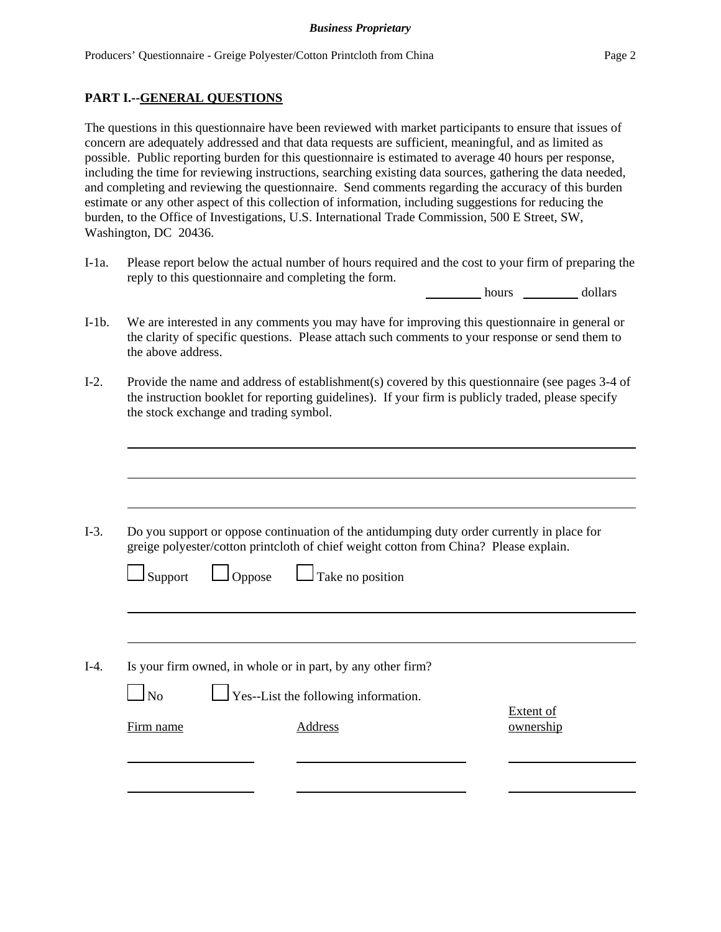# **PART I.--GENERAL QUESTIONS**

The questions in this questionnaire have been reviewed with market participants to ensure that issues of concern are adequately addressed and that data requests are sufficient, meaningful, and as limited as possible. Public reporting burden for this questionnaire is estimated to average 40 hours per response, including the time for reviewing instructions, searching existing data sources, gathering the data needed, and completing and reviewing the questionnaire. Send comments regarding the accuracy of this burden estimate or any other aspect of this collection of information, including suggestions for reducing the burden, to the Office of Investigations, U.S. International Trade Commission, 500 E Street, SW, Washington, DC 20436.

I-1a. Please report below the actual number of hours required and the cost to your firm of preparing the reply to this questionnaire and completing the form.

hours dollars

- I-1b. We are interested in any comments you may have for improving this questionnaire in general or the clarity of specific questions. Please attach such comments to your response or send them to the above address.
- I-2. Provide the name and address of establishment(s) covered by this questionnaire (see pages 3-4 of the instruction booklet for reporting guidelines). If your firm is publicly traded, please specify the stock exchange and trading symbol.
- I-3. Do you support or oppose continuation of the antidumping duty order currently in place for greige polyester/cotton printcloth of chief weight cotton from China? Please explain.  $\Box$  Support  $\Box$  Oppose  $\Box$  Take no position I-4. Is your firm owned, in whole or in part, by any other firm? No  $\Box$  Yes--List the following information. Extent of

Firm name **Address** Address **ownership**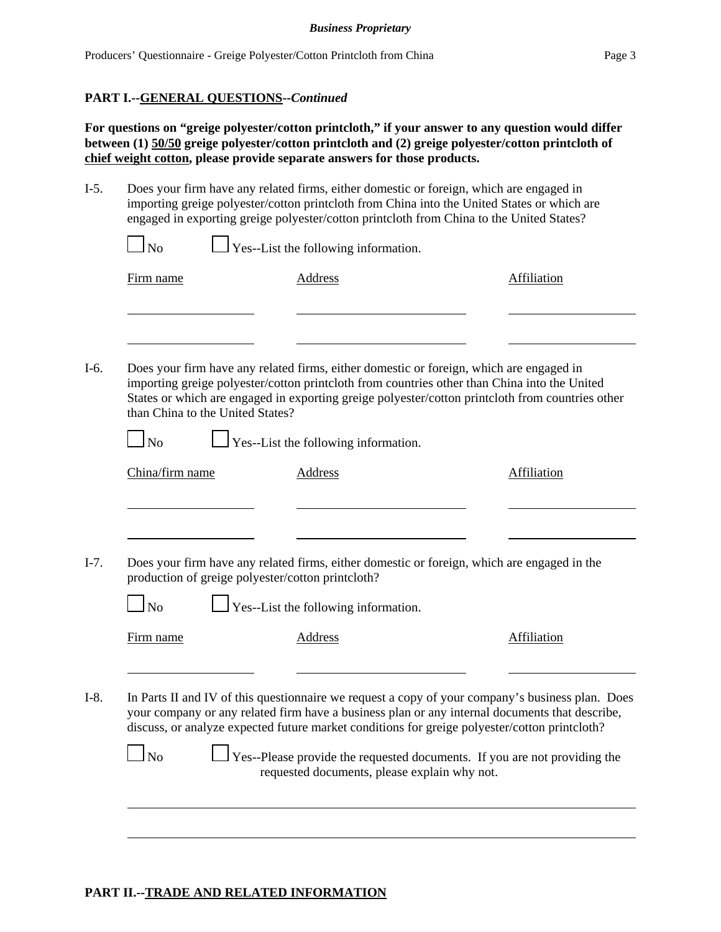### **PART I.--GENERAL QUESTIONS--***Continued*

**For questions on "greige polyester/cotton printcloth," if your answer to any question would differ between (1) 50/50 greige polyester/cotton printcloth and (2) greige polyester/cotton printcloth of chief weight cotton, please provide separate answers for those products.**

I-5. Does your firm have any related firms, either domestic or foreign, which are engaged in importing greige polyester/cotton printcloth from China into the United States or which are engaged in exporting greige polyester/cotton printcloth from China to the United States?

| Firm name                                         | Address                                                                                 | Affiliation                                                                                                                                                                                                                                                                                         |
|---------------------------------------------------|-----------------------------------------------------------------------------------------|-----------------------------------------------------------------------------------------------------------------------------------------------------------------------------------------------------------------------------------------------------------------------------------------------------|
|                                                   |                                                                                         |                                                                                                                                                                                                                                                                                                     |
| than China to the United States?                  | Does your firm have any related firms, either domestic or foreign, which are engaged in | importing greige polyester/cotton printcloth from countries other than China into the United<br>States or which are engaged in exporting greige polyester/cotton printcloth from countries other                                                                                                    |
| $\Box$ No                                         | $\perp$ Yes--List the following information.                                            |                                                                                                                                                                                                                                                                                                     |
| China/firm name                                   | <b>Address</b>                                                                          | Affiliation                                                                                                                                                                                                                                                                                         |
| production of greige polyester/cotton printcloth? |                                                                                         | Does your firm have any related firms, either domestic or foreign, which are engaged in the                                                                                                                                                                                                         |
| $\overline{\rm No}$                               | $\Gamma$ Yes--List the following information.                                           |                                                                                                                                                                                                                                                                                                     |
| Firm name                                         | <b>Address</b>                                                                          | Affiliation                                                                                                                                                                                                                                                                                         |
|                                                   |                                                                                         |                                                                                                                                                                                                                                                                                                     |
|                                                   |                                                                                         | In Parts II and IV of this questionnaire we request a copy of your company's business plan. Does<br>your company or any related firm have a business plan or any internal documents that describe,<br>discuss, or analyze expected future market conditions for greige polyester/cotton printcloth? |
|                                                   |                                                                                         |                                                                                                                                                                                                                                                                                                     |

# **PART II.--TRADE AND RELATED INFORMATION**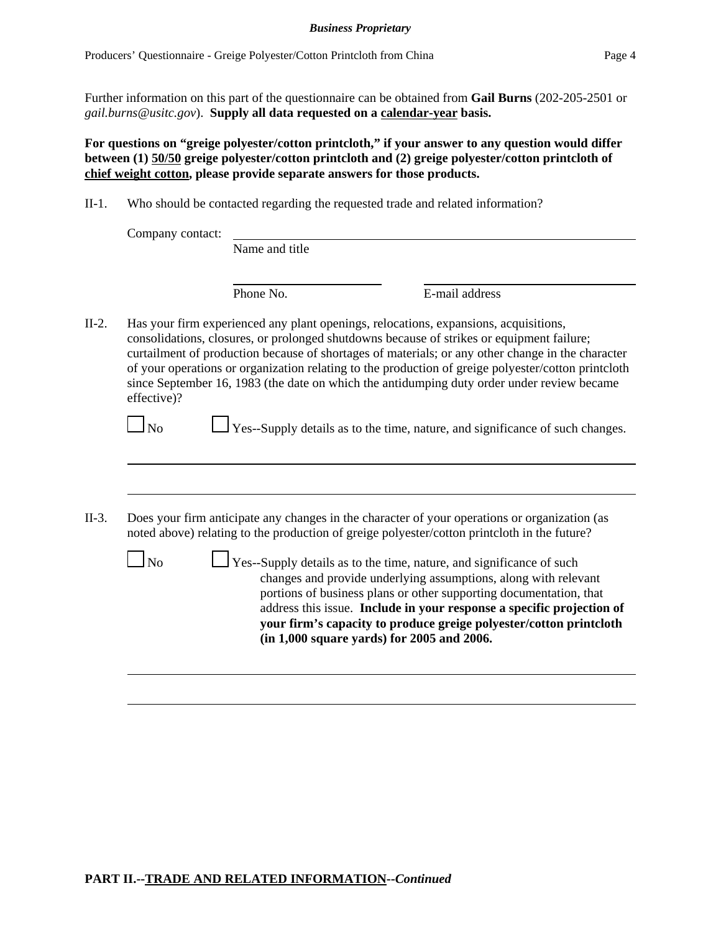Further information on this part of the questionnaire can be obtained from **Gail Burns** (202-205-2501 or *gail.burns@usitc.gov*). **Supply all data requested on a calendar-year basis.**

**For questions on "greige polyester/cotton printcloth," if your answer to any question would differ between (1) 50/50 greige polyester/cotton printcloth and (2) greige polyester/cotton printcloth of chief weight cotton, please provide separate answers for those products.**

II-1. Who should be contacted regarding the requested trade and related information?

| Company contact: | Name and title |                                                                                                                                                                                                                                                                                                                                                                                                                                                                                             |
|------------------|----------------|---------------------------------------------------------------------------------------------------------------------------------------------------------------------------------------------------------------------------------------------------------------------------------------------------------------------------------------------------------------------------------------------------------------------------------------------------------------------------------------------|
|                  | Phone No.      | E-mail address                                                                                                                                                                                                                                                                                                                                                                                                                                                                              |
| effective)?      |                | Has your firm experienced any plant openings, relocations, expansions, acquisitions,<br>consolidations, closures, or prolonged shutdowns because of strikes or equipment failure;<br>curtailment of production because of shortages of materials; or any other change in the character<br>of your operations or organization relating to the production of greige polyester/cotton printcloth<br>since September 16, 1983 (the date on which the antidumping duty order under review became |
| N <sub>0</sub>   |                | $\Box$ Yes--Supply details as to the time, nature, and significance of such changes.                                                                                                                                                                                                                                                                                                                                                                                                        |
|                  |                |                                                                                                                                                                                                                                                                                                                                                                                                                                                                                             |
|                  |                | Does your firm anticipate any changes in the character of your operations or organization (as<br>noted above) relating to the production of greige polyester/cotton printcloth in the future?                                                                                                                                                                                                                                                                                               |
| N <sub>0</sub>   |                | Yes--Supply details as to the time, nature, and significance of such<br>changes and provide underlying assumptions, along with relevant<br>portions of business plans or other supporting documentation, that<br>address this issue. Include in your response a specific projection of<br>your firm's capacity to produce greige polyester/cotton printcloth<br>(in 1,000 square yards) for 2005 and 2006.                                                                                  |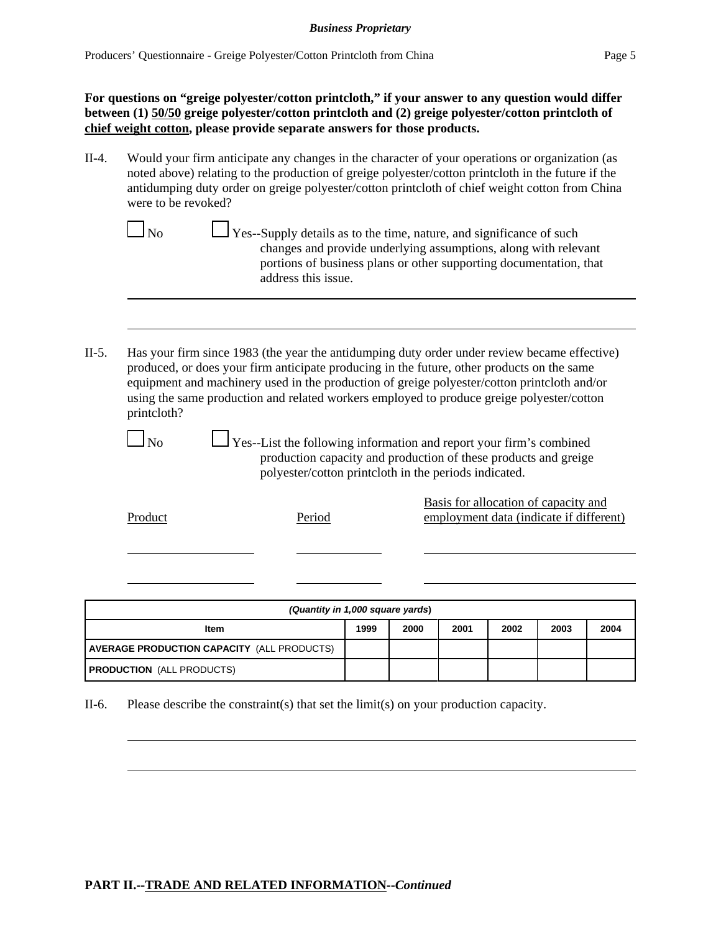**For questions on "greige polyester/cotton printcloth," if your answer to any question would differ between (1) 50/50 greige polyester/cotton printcloth and (2) greige polyester/cotton printcloth of chief weight cotton, please provide separate answers for those products.**

- II-4. Would your firm anticipate any changes in the character of your operations or organization (as noted above) relating to the production of greige polyester/cotton printcloth in the future if the antidumping duty order on greige polyester/cotton printcloth of chief weight cotton from China were to be revoked?
	- $\Box$  No  $\Box$  Yes--Supply details as to the time, nature, and significance of such changes and provide underlying assumptions, along with relevant portions of business plans or other supporting documentation, that address this issue.
- II-5. Has your firm since 1983 (the year the antidumping duty order under review became effective) produced, or does your firm anticipate producing in the future, other products on the same equipment and machinery used in the production of greige polyester/cotton printcloth and/or using the same production and related workers employed to produce greige polyester/cotton printcloth?

 $\Box$  No  $\Box$  Yes--List the following information and report your firm's combined production capacity and production of these products and greige polyester/cotton printcloth in the periods indicated.

Basis for allocation of capacity and Product Period Period employment data (indicate if different)

| (Quantity in 1,000 square yards)                  |      |      |      |      |      |      |
|---------------------------------------------------|------|------|------|------|------|------|
| ltem                                              | 1999 | 2000 | 2001 | 2002 | 2003 | 2004 |
| <b>AVERAGE PRODUCTION CAPACITY (ALL PRODUCTS)</b> |      |      |      |      |      |      |
| <b>PRODUCTION (ALL PRODUCTS)</b>                  |      |      |      |      |      |      |

II-6. Please describe the constraint(s) that set the limit(s) on your production capacity.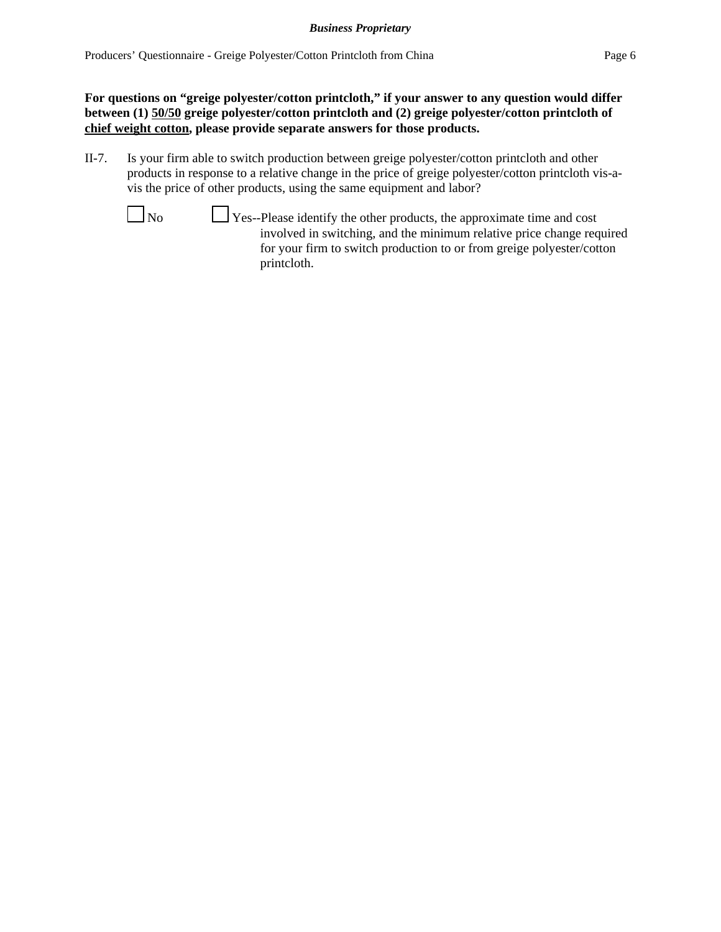**For questions on "greige polyester/cotton printcloth," if your answer to any question would differ between (1) 50/50 greige polyester/cotton printcloth and (2) greige polyester/cotton printcloth of chief weight cotton, please provide separate answers for those products.**

II-7. Is your firm able to switch production between greige polyester/cotton printcloth and other products in response to a relative change in the price of greige polyester/cotton printcloth vis-avis the price of other products, using the same equipment and labor?



 $\Box$  No  $\Box$  Yes--Please identify the other products, the approximate time and cost involved in switching, and the minimum relative price change required for your firm to switch production to or from greige polyester/cotton printcloth.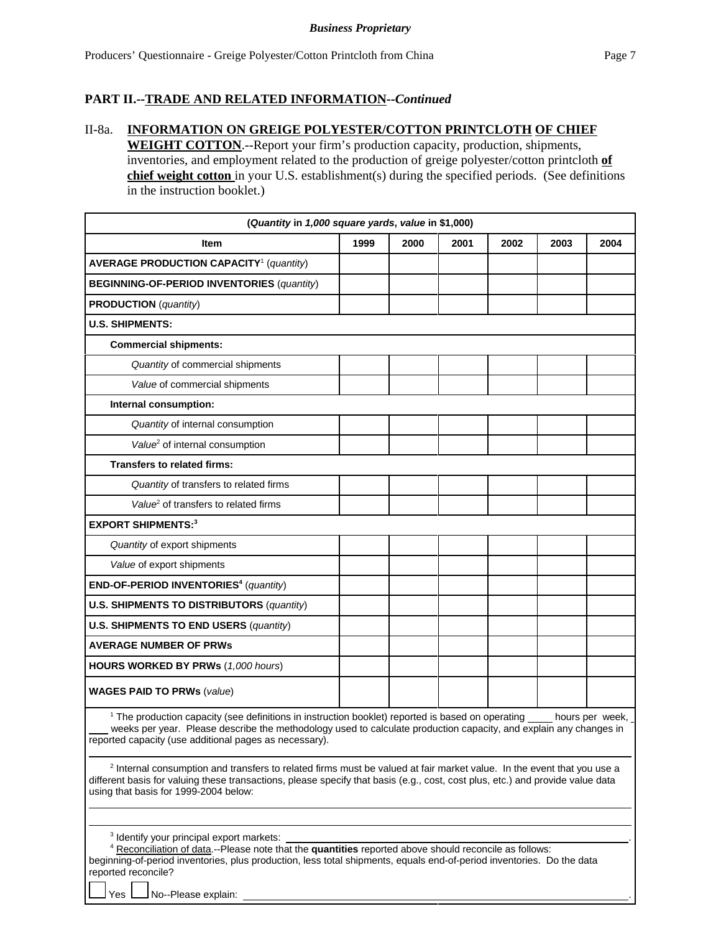### **PART II.--TRADE AND RELATED INFORMATION--***Continued*

### II-8a. **INFORMATION ON GREIGE POLYESTER/COTTON PRINTCLOTH OF CHIEF**

**WEIGHT COTTON**.--Report your firm's production capacity, production, shipments, inventories, and employment related to the production of greige polyester/cotton printcloth **of chief weight cotton** in your U.S. establishment(s) during the specified periods. (See definitions in the instruction booklet.)

| (Quantity in 1,000 square yards, value in \$1,000)                                                                                                                                                                                                                                                           |      |      |      |      |      |      |
|--------------------------------------------------------------------------------------------------------------------------------------------------------------------------------------------------------------------------------------------------------------------------------------------------------------|------|------|------|------|------|------|
| <b>Item</b>                                                                                                                                                                                                                                                                                                  | 1999 | 2000 | 2001 | 2002 | 2003 | 2004 |
| <b>AVERAGE PRODUCTION CAPACITY<sup>1</sup></b> (quantity)                                                                                                                                                                                                                                                    |      |      |      |      |      |      |
| <b>BEGINNING-OF-PERIOD INVENTORIES (quantity)</b>                                                                                                                                                                                                                                                            |      |      |      |      |      |      |
| <b>PRODUCTION</b> (quantity)                                                                                                                                                                                                                                                                                 |      |      |      |      |      |      |
| <b>U.S. SHIPMENTS:</b>                                                                                                                                                                                                                                                                                       |      |      |      |      |      |      |
| <b>Commercial shipments:</b>                                                                                                                                                                                                                                                                                 |      |      |      |      |      |      |
| Quantity of commercial shipments                                                                                                                                                                                                                                                                             |      |      |      |      |      |      |
| Value of commercial shipments                                                                                                                                                                                                                                                                                |      |      |      |      |      |      |
| Internal consumption:                                                                                                                                                                                                                                                                                        |      |      |      |      |      |      |
| Quantity of internal consumption                                                                                                                                                                                                                                                                             |      |      |      |      |      |      |
| Value <sup>2</sup> of internal consumption                                                                                                                                                                                                                                                                   |      |      |      |      |      |      |
| <b>Transfers to related firms:</b>                                                                                                                                                                                                                                                                           |      |      |      |      |      |      |
| Quantity of transfers to related firms                                                                                                                                                                                                                                                                       |      |      |      |      |      |      |
| Value <sup>2</sup> of transfers to related firms                                                                                                                                                                                                                                                             |      |      |      |      |      |      |
| <b>EXPORT SHIPMENTS:3</b>                                                                                                                                                                                                                                                                                    |      |      |      |      |      |      |
| Quantity of export shipments                                                                                                                                                                                                                                                                                 |      |      |      |      |      |      |
| Value of export shipments                                                                                                                                                                                                                                                                                    |      |      |      |      |      |      |
| END-OF-PERIOD INVENTORIES <sup>4</sup> (quantity)                                                                                                                                                                                                                                                            |      |      |      |      |      |      |
| <b>U.S. SHIPMENTS TO DISTRIBUTORS (quantity)</b>                                                                                                                                                                                                                                                             |      |      |      |      |      |      |
| <b>U.S. SHIPMENTS TO END USERS (quantity)</b>                                                                                                                                                                                                                                                                |      |      |      |      |      |      |
| <b>AVERAGE NUMBER OF PRWS</b>                                                                                                                                                                                                                                                                                |      |      |      |      |      |      |
| <b>HOURS WORKED BY PRWs (1,000 hours)</b>                                                                                                                                                                                                                                                                    |      |      |      |      |      |      |
| <b>WAGES PAID TO PRWs (value)</b>                                                                                                                                                                                                                                                                            |      |      |      |      |      |      |
| <sup>1</sup> The production capacity (see definitions in instruction booklet) reported is based on operating hours per week,<br>weeks per year. Please describe the methodology used to calculate production capacity, and explain any changes in<br>reported capacity (use additional pages as necessary).  |      |      |      |      |      |      |
| <sup>2</sup> Internal consumption and transfers to related firms must be valued at fair market value. In the event that you use a<br>different basis for valuing these transactions, please specify that basis (e.g., cost, cost plus, etc.) and provide value data<br>using that basis for 1999-2004 below: |      |      |      |      |      |      |

3 Identify your principal export markets: .

4 Reconciliation of data.--Please note that the **quantities** reported above should reconcile as follows: beginning-of-period inventories, plus production, less total shipments, equals end-of-period inventories. Do the data reported reconcile?

Yes  $\Box$  No--Please explain: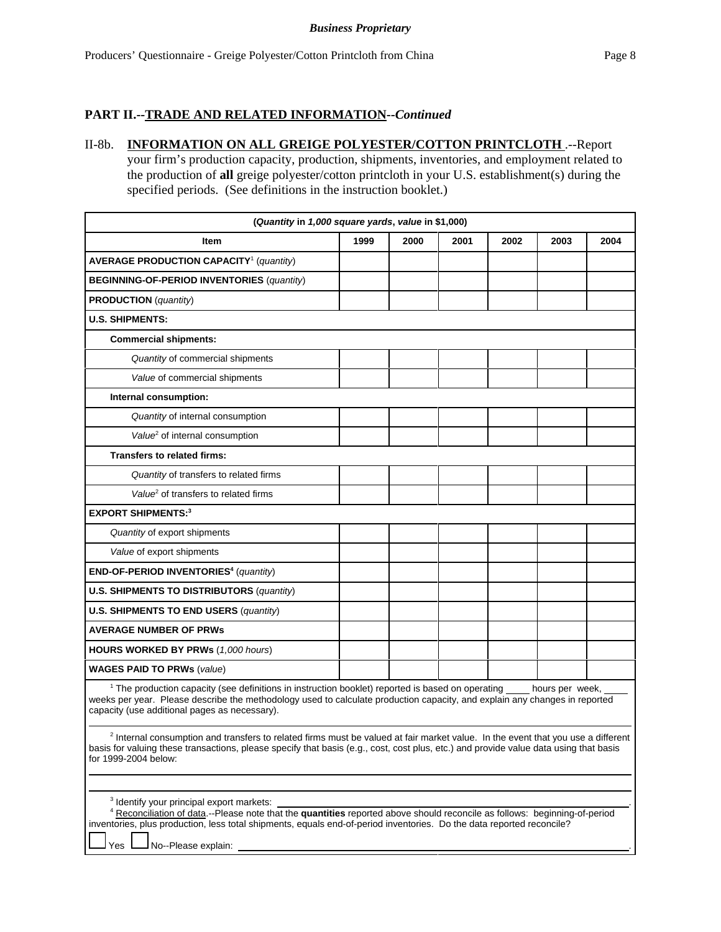### **PART II.--TRADE AND RELATED INFORMATION--***Continued*

# II-8b. **INFORMATION ON ALL GREIGE POLYESTER/COTTON PRINTCLOTH** .--Report your firm's production capacity, production, shipments, inventories, and employment related to the production of **all** greige polyester/cotton printcloth in your U.S. establishment(s) during the specified periods. (See definitions in the instruction booklet.)

| (Quantity in 1,000 square yards, value in \$1,000)                                                                                                                                                                                                                                                                                        |      |      |      |      |                 |      |
|-------------------------------------------------------------------------------------------------------------------------------------------------------------------------------------------------------------------------------------------------------------------------------------------------------------------------------------------|------|------|------|------|-----------------|------|
| Item                                                                                                                                                                                                                                                                                                                                      | 1999 | 2000 | 2001 | 2002 | 2003            | 2004 |
| <b>AVERAGE PRODUCTION CAPACITY<sup>1</sup></b> (quantity)                                                                                                                                                                                                                                                                                 |      |      |      |      |                 |      |
| <b>BEGINNING-OF-PERIOD INVENTORIES (quantity)</b>                                                                                                                                                                                                                                                                                         |      |      |      |      |                 |      |
| <b>PRODUCTION</b> (quantity)                                                                                                                                                                                                                                                                                                              |      |      |      |      |                 |      |
| <b>U.S. SHIPMENTS:</b>                                                                                                                                                                                                                                                                                                                    |      |      |      |      |                 |      |
| <b>Commercial shipments:</b>                                                                                                                                                                                                                                                                                                              |      |      |      |      |                 |      |
| Quantity of commercial shipments                                                                                                                                                                                                                                                                                                          |      |      |      |      |                 |      |
| Value of commercial shipments                                                                                                                                                                                                                                                                                                             |      |      |      |      |                 |      |
| Internal consumption:                                                                                                                                                                                                                                                                                                                     |      |      |      |      |                 |      |
| Quantity of internal consumption                                                                                                                                                                                                                                                                                                          |      |      |      |      |                 |      |
| Value <sup>2</sup> of internal consumption                                                                                                                                                                                                                                                                                                |      |      |      |      |                 |      |
| <b>Transfers to related firms:</b>                                                                                                                                                                                                                                                                                                        |      |      |      |      |                 |      |
| Quantity of transfers to related firms                                                                                                                                                                                                                                                                                                    |      |      |      |      |                 |      |
| Value <sup>2</sup> of transfers to related firms                                                                                                                                                                                                                                                                                          |      |      |      |      |                 |      |
| <b>EXPORT SHIPMENTS:3</b>                                                                                                                                                                                                                                                                                                                 |      |      |      |      |                 |      |
| Quantity of export shipments                                                                                                                                                                                                                                                                                                              |      |      |      |      |                 |      |
| Value of export shipments                                                                                                                                                                                                                                                                                                                 |      |      |      |      |                 |      |
| END-OF-PERIOD INVENTORIES <sup>4</sup> (quantity)                                                                                                                                                                                                                                                                                         |      |      |      |      |                 |      |
| <b>U.S. SHIPMENTS TO DISTRIBUTORS (quantity)</b>                                                                                                                                                                                                                                                                                          |      |      |      |      |                 |      |
| U.S. SHIPMENTS TO END USERS (quantity)                                                                                                                                                                                                                                                                                                    |      |      |      |      |                 |      |
| <b>AVERAGE NUMBER OF PRWS</b>                                                                                                                                                                                                                                                                                                             |      |      |      |      |                 |      |
| <b>HOURS WORKED BY PRWs (1,000 hours)</b>                                                                                                                                                                                                                                                                                                 |      |      |      |      |                 |      |
| <b>WAGES PAID TO PRWs (value)</b>                                                                                                                                                                                                                                                                                                         |      |      |      |      |                 |      |
| <sup>1</sup> The production capacity (see definitions in instruction booklet) reported is based on operating<br>weeks per year. Please describe the methodology used to calculate production capacity, and explain any changes in reported<br>capacity (use additional pages as necessary).                                               |      |      |      |      | hours per week, |      |
| <sup>2</sup> Internal consumption and transfers to related firms must be valued at fair market value. In the event that you use a different<br>basis for valuing these transactions, please specify that basis (e.g., cost, cost plus, etc.) and provide value data using that basis<br>for 1999-2004 below:                              |      |      |      |      |                 |      |
|                                                                                                                                                                                                                                                                                                                                           |      |      |      |      |                 |      |
| <sup>3</sup> Identify your principal export markets:<br>4 Reconciliation of data.--Please note that the quantities reported above should reconcile as follows: beginning-of-period<br>inventories, plus production, less total shipments, equals end-of-period inventories. Do the data reported reconcile?<br>No--Please explain:<br>Yes |      |      |      |      |                 |      |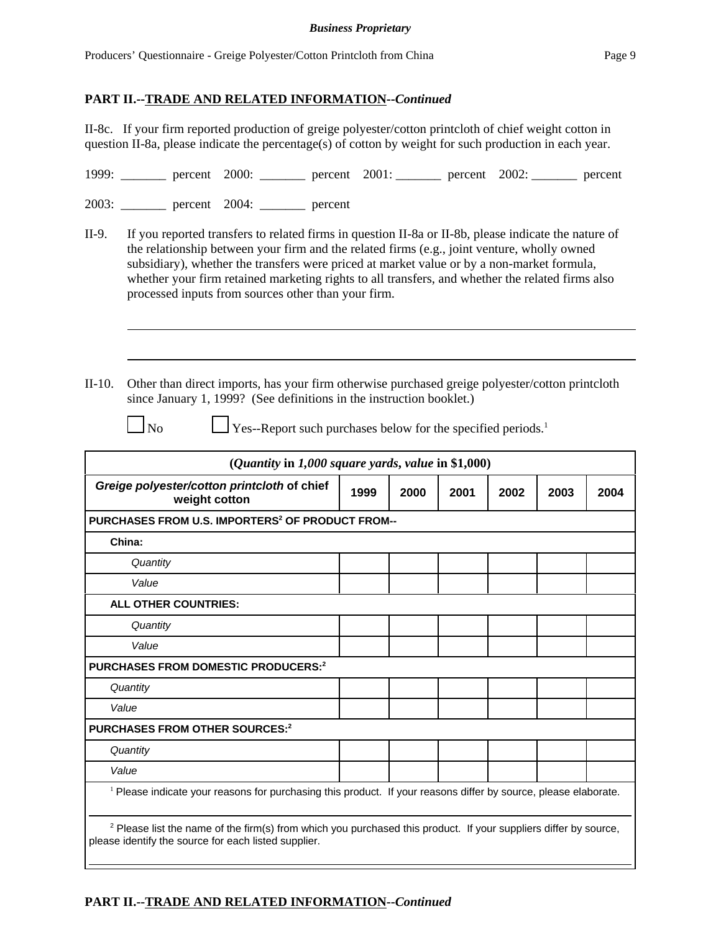II-8c. If your firm reported production of greige polyester/cotton printcloth of chief weight cotton in question II-8a, please indicate the percentage(s) of cotton by weight for such production in each year.

| 1999: | $\frac{\text{percent}}{2000}$ percent 2000: <b>example 2001: example 2001: example 2002: example 2002: example 2001: example 2002: example 2002: example 2003: example 2003: example 2003: example 2003: example 2003:</b> |  |  |  |
|-------|----------------------------------------------------------------------------------------------------------------------------------------------------------------------------------------------------------------------------|--|--|--|
| 2003: | percent 2004: percent                                                                                                                                                                                                      |  |  |  |

- II-9. If you reported transfers to related firms in question II-8a or II-8b, please indicate the nature of the relationship between your firm and the related firms (e.g., joint venture, wholly owned subsidiary), whether the transfers were priced at market value or by a non-market formula, whether your firm retained marketing rights to all transfers, and whether the related firms also processed inputs from sources other than your firm.
- II-10. Other than direct imports, has your firm otherwise purchased greige polyester/cotton printcloth since January 1, 1999? (See definitions in the instruction booklet.)
	-

 $\Box$  No  $\Box$  Yes--Report such purchases below for the specified periods.<sup>1</sup>

| ( <i>Quantity</i> in $1,000$ square yards, value in \$1,000)                                                                                                                        |      |      |      |      |      |      |
|-------------------------------------------------------------------------------------------------------------------------------------------------------------------------------------|------|------|------|------|------|------|
| Greige polyester/cotton printcloth of chief<br>weight cotton                                                                                                                        | 1999 | 2000 | 2001 | 2002 | 2003 | 2004 |
| PURCHASES FROM U.S. IMPORTERS <sup>2</sup> OF PRODUCT FROM--                                                                                                                        |      |      |      |      |      |      |
| China:                                                                                                                                                                              |      |      |      |      |      |      |
| Quantity                                                                                                                                                                            |      |      |      |      |      |      |
| Value                                                                                                                                                                               |      |      |      |      |      |      |
| <b>ALL OTHER COUNTRIES:</b>                                                                                                                                                         |      |      |      |      |      |      |
| Quantity                                                                                                                                                                            |      |      |      |      |      |      |
| Value                                                                                                                                                                               |      |      |      |      |      |      |
| PURCHASES FROM DOMESTIC PRODUCERS: <sup>2</sup>                                                                                                                                     |      |      |      |      |      |      |
| Quantity                                                                                                                                                                            |      |      |      |      |      |      |
| Value                                                                                                                                                                               |      |      |      |      |      |      |
| <b>PURCHASES FROM OTHER SOURCES:2</b>                                                                                                                                               |      |      |      |      |      |      |
| Quantity                                                                                                                                                                            |      |      |      |      |      |      |
| Value                                                                                                                                                                               |      |      |      |      |      |      |
| <sup>1</sup> Please indicate your reasons for purchasing this product. If your reasons differ by source, please elaborate.                                                          |      |      |      |      |      |      |
| <sup>2</sup> Please list the name of the firm(s) from which you purchased this product. If your suppliers differ by source,<br>please identify the source for each listed supplier. |      |      |      |      |      |      |

# **PART II.--TRADE AND RELATED INFORMATION--***Continued*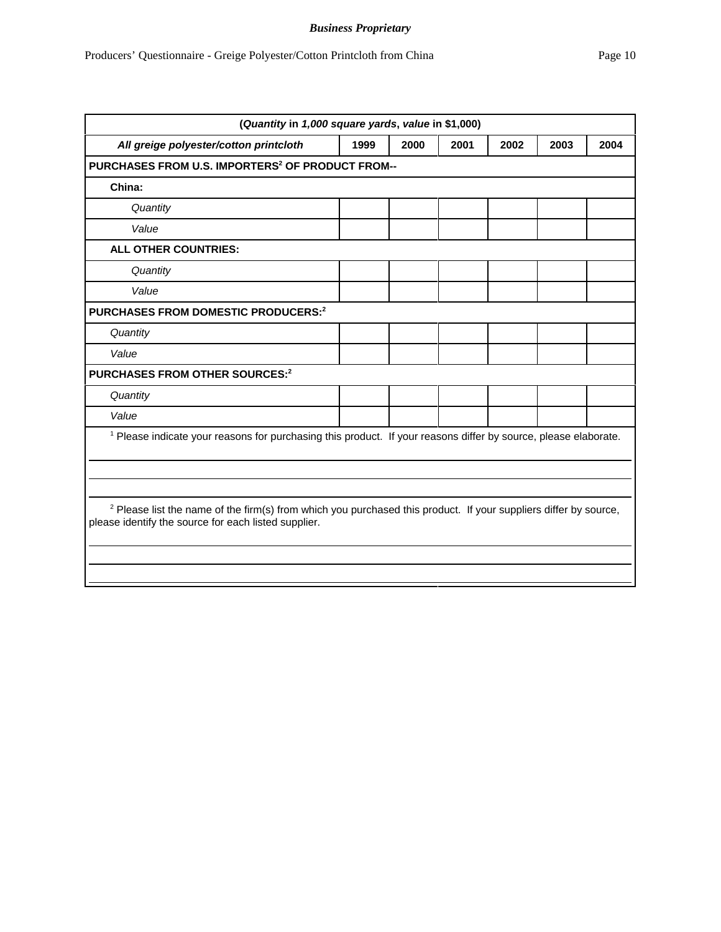| (Quantity in 1,000 square yards, value in \$1,000)                                                                                                                                  |      |      |      |      |      |      |
|-------------------------------------------------------------------------------------------------------------------------------------------------------------------------------------|------|------|------|------|------|------|
| All greige polyester/cotton printcloth                                                                                                                                              | 1999 | 2000 | 2001 | 2002 | 2003 | 2004 |
| PURCHASES FROM U.S. IMPORTERS <sup>2</sup> OF PRODUCT FROM--                                                                                                                        |      |      |      |      |      |      |
| China:                                                                                                                                                                              |      |      |      |      |      |      |
| Quantity                                                                                                                                                                            |      |      |      |      |      |      |
| Value                                                                                                                                                                               |      |      |      |      |      |      |
| <b>ALL OTHER COUNTRIES:</b>                                                                                                                                                         |      |      |      |      |      |      |
| Quantity                                                                                                                                                                            |      |      |      |      |      |      |
| Value                                                                                                                                                                               |      |      |      |      |      |      |
| PURCHASES FROM DOMESTIC PRODUCERS:2                                                                                                                                                 |      |      |      |      |      |      |
| Quantity                                                                                                                                                                            |      |      |      |      |      |      |
| Value                                                                                                                                                                               |      |      |      |      |      |      |
| PURCHASES FROM OTHER SOURCES:2                                                                                                                                                      |      |      |      |      |      |      |
| Quantity                                                                                                                                                                            |      |      |      |      |      |      |
| Value                                                                                                                                                                               |      |      |      |      |      |      |
| <sup>1</sup> Please indicate your reasons for purchasing this product. If your reasons differ by source, please elaborate.                                                          |      |      |      |      |      |      |
|                                                                                                                                                                                     |      |      |      |      |      |      |
|                                                                                                                                                                                     |      |      |      |      |      |      |
| <sup>2</sup> Please list the name of the firm(s) from which you purchased this product. If your suppliers differ by source,<br>please identify the source for each listed supplier. |      |      |      |      |      |      |
|                                                                                                                                                                                     |      |      |      |      |      |      |
|                                                                                                                                                                                     |      |      |      |      |      |      |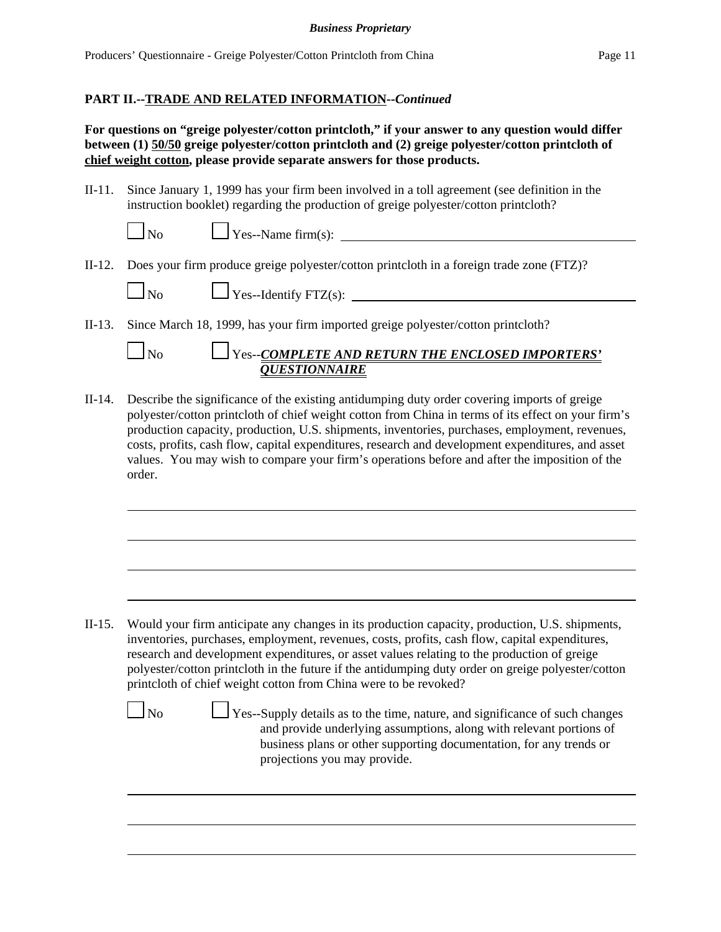## **PART II.--TRADE AND RELATED INFORMATION--***Continued*

**For questions on "greige polyester/cotton printcloth," if your answer to any question would differ between (1) 50/50 greige polyester/cotton printcloth and (2) greige polyester/cotton printcloth of chief weight cotton, please provide separate answers for those products.**

II-11. Since January 1, 1999 has your firm been involved in a toll agreement (see definition in the instruction booklet) regarding the production of greige polyester/cotton printcloth?

| u |  |
|---|--|

 $\angle$  Yes--Name firm(s):

II-12. Does your firm produce greige polyester/cotton printcloth in a foreign trade zone (FTZ)?

 $\bigcup$ No  $\bigcup$ Yes--Identify FTZ(s):

II-13. Since March 18, 1999, has your firm imported greige polyester/cotton printcloth?

# No Yes--*COMPLETE AND RETURN THE ENCLOSED IMPORTERS' QUESTIONNAIRE*

II-14. Describe the significance of the existing antidumping duty order covering imports of greige polyester/cotton printcloth of chief weight cotton from China in terms of its effect on your firm's production capacity, production, U.S. shipments, inventories, purchases, employment, revenues, costs, profits, cash flow, capital expenditures, research and development expenditures, and asset values. You may wish to compare your firm's operations before and after the imposition of the order.

II-15. Would your firm anticipate any changes in its production capacity, production, U.S. shipments, inventories, purchases, employment, revenues, costs, profits, cash flow, capital expenditures, research and development expenditures, or asset values relating to the production of greige polyester/cotton printcloth in the future if the antidumping duty order on greige polyester/cotton printcloth of chief weight cotton from China were to be revoked?

 $\perp$  Yes--Supply details as to the time, nature, and significance of such changes and provide underlying assumptions, along with relevant portions of business plans or other supporting documentation, for any trends or projections you may provide.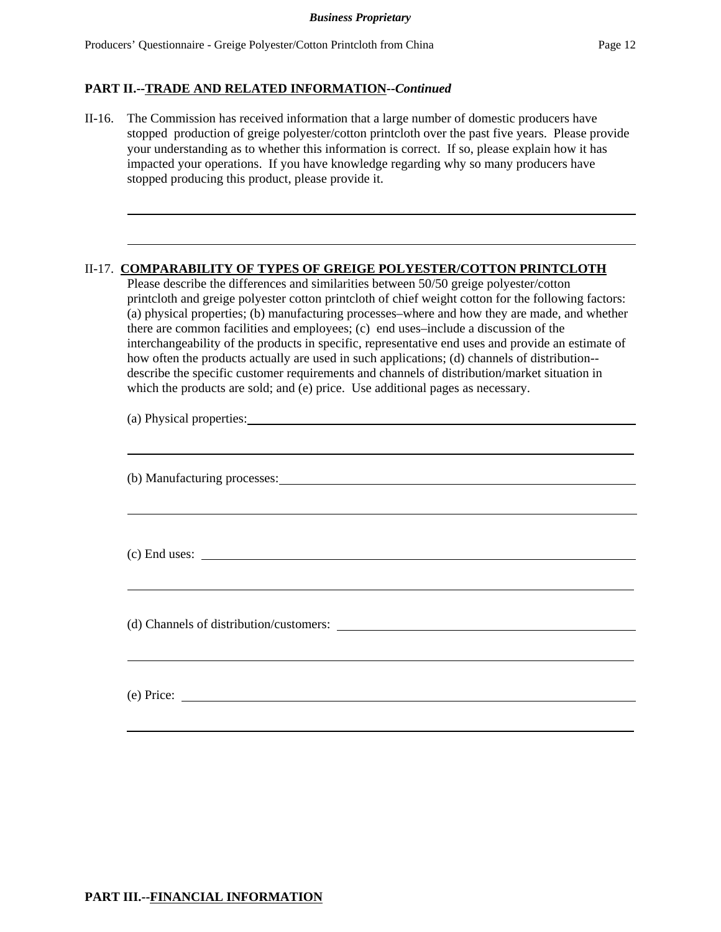# **PART II.--TRADE AND RELATED INFORMATION--***Continued*

II-16. The Commission has received information that a large number of domestic producers have stopped production of greige polyester/cotton printcloth over the past five years. Please provide your understanding as to whether this information is correct. If so, please explain how it has impacted your operations. If you have knowledge regarding why so many producers have stopped producing this product, please provide it.

## II-17. **COMPARABILITY OF TYPES OF GREIGE POLYESTER/COTTON PRINTCLOTH**

Please describe the differences and similarities between 50/50 greige polyester/cotton printcloth and greige polyester cotton printcloth of chief weight cotton for the following factors: (a) physical properties; (b) manufacturing processes–where and how they are made, and whether there are common facilities and employees; (c) end uses–include a discussion of the interchangeability of the products in specific, representative end uses and provide an estimate of how often the products actually are used in such applications; (d) channels of distribution- describe the specific customer requirements and channels of distribution/market situation in which the products are sold; and (e) price. Use additional pages as necessary.

| (a) Physical properties: Universe of the set of the set of the set of the set of the set of the set of the set of the set of the set of the set of the set of the set of the set of the set of the set of the set of the set o |  |
|--------------------------------------------------------------------------------------------------------------------------------------------------------------------------------------------------------------------------------|--|
|                                                                                                                                                                                                                                |  |
|                                                                                                                                                                                                                                |  |
| (b) Manufacturing processes:                                                                                                                                                                                                   |  |
|                                                                                                                                                                                                                                |  |
|                                                                                                                                                                                                                                |  |
|                                                                                                                                                                                                                                |  |
|                                                                                                                                                                                                                                |  |
| $(c)$ End uses: $\overline{\phantom{a}}$                                                                                                                                                                                       |  |
|                                                                                                                                                                                                                                |  |
|                                                                                                                                                                                                                                |  |
|                                                                                                                                                                                                                                |  |
|                                                                                                                                                                                                                                |  |
|                                                                                                                                                                                                                                |  |
|                                                                                                                                                                                                                                |  |
|                                                                                                                                                                                                                                |  |
| $(e)$ Price:                                                                                                                                                                                                                   |  |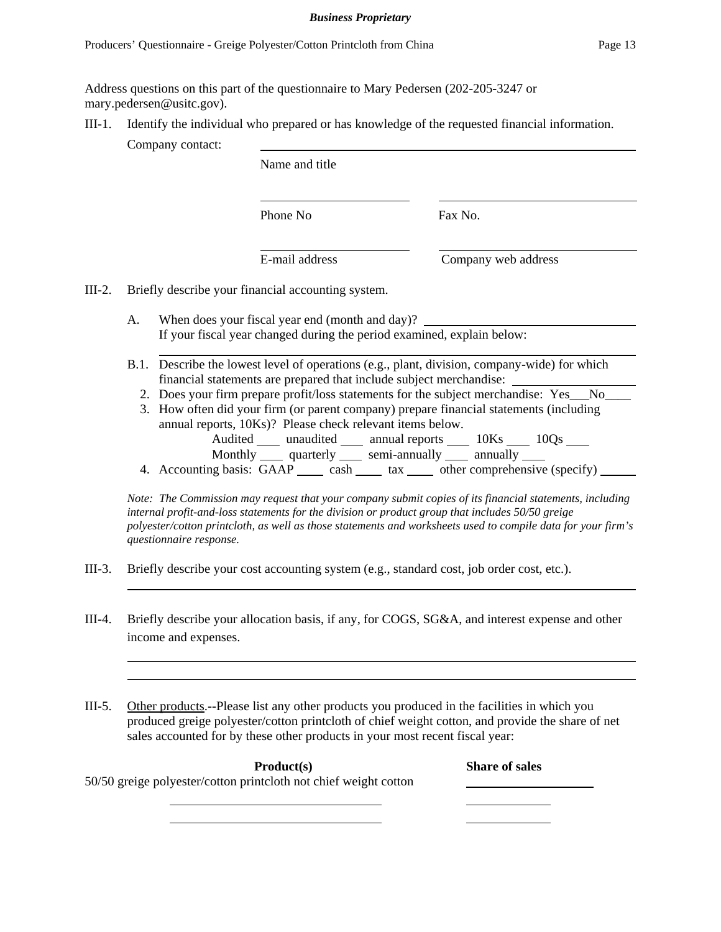Address questions on this part of the questionnaire to Mary Pedersen (202-205**-**3247 or mary.pedersen@usitc.gov).

III-1. Identify the individual who prepared or has knowledge of the requested financial information.

Company contact:

Name and title

Phone No Fax No.

l

l

E-mail address Company web address

III-2. Briefly describe your financial accounting system.

- A. When does your fiscal year end (month and day)? If your fiscal year changed during the period examined, explain below:
- B.1. Describe the lowest level of operations (e.g., plant, division, company-wide) for which financial statements are prepared that include subject merchandise:
	- 2. Does your firm prepare profit/loss statements for the subject merchandise: Yes\_\_No\_\_\_
	- 3. How often did your firm (or parent company) prepare financial statements (including annual reports, 10Ks)? Please check relevant items below. Audited \_\_\_\_ unaudited \_\_\_\_ annual reports \_\_\_\_ 10Ks \_\_\_\_ 10Qs \_\_\_\_ Monthly quarterly semi-annually annually
	- 4. Accounting basis: GAAP cash tax other comprehensive (specify)

*Note: The Commission may request that your company submit copies of its financial statements, including internal profit-and-loss statements for the division or product group that includes 50/50 greige polyester/cotton printcloth, as well as those statements and worksheets used to compile data for your firm's questionnaire response.*

- III-3. Briefly describe your cost accounting system (e.g., standard cost, job order cost, etc.).
- III-4. Briefly describe your allocation basis, if any, for COGS, SG&A, and interest expense and other income and expenses.
- III-5. Other products.--Please list any other products you produced in the facilities in which you produced greige polyester/cotton printcloth of chief weight cotton, and provide the share of net sales accounted for by these other products in your most recent fiscal year:

| Product(s)                                                       | <b>Share of sales</b> |
|------------------------------------------------------------------|-----------------------|
| 50/50 greige polyester/cotton printcloth not chief weight cotton |                       |
|                                                                  |                       |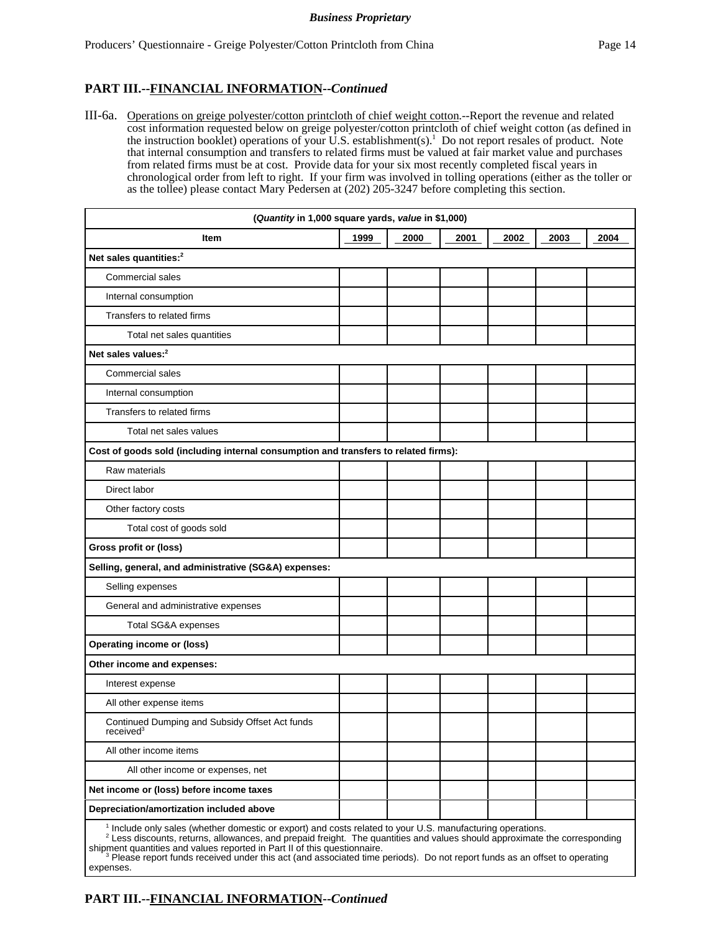# **PART III.--FINANCIAL INFORMATION--***Continued*

III-6a. Operations on greige polyester/cotton printcloth of chief weight cotton.--Report the revenue and related cost information requested below on greige polyester/cotton printcloth of chief weight cotton (as defined in the instruction booklet) operations of your U.S. establishment(s).<sup>1</sup> Do not report resales of product. Note that internal consumption and transfers to related firms must be valued at fair market value and purchases from related firms must be at cost. Provide data for your six most recently completed fiscal years in chronological order from left to right. If your firm was involved in tolling operations (either as the toller or as the tollee) please contact Mary Pedersen at (202) 205-3247 before completing this section.

| (Quantity in 1,000 square yards, value in \$1,000)                                                                    |      |      |      |      |      |      |
|-----------------------------------------------------------------------------------------------------------------------|------|------|------|------|------|------|
| Item                                                                                                                  | 1999 | 2000 | 2001 | 2002 | 2003 | 2004 |
| Net sales quantities: <sup>2</sup>                                                                                    |      |      |      |      |      |      |
| Commercial sales                                                                                                      |      |      |      |      |      |      |
| Internal consumption                                                                                                  |      |      |      |      |      |      |
| Transfers to related firms                                                                                            |      |      |      |      |      |      |
| Total net sales quantities                                                                                            |      |      |      |      |      |      |
| Net sales values: <sup>2</sup>                                                                                        |      |      |      |      |      |      |
| <b>Commercial sales</b>                                                                                               |      |      |      |      |      |      |
| Internal consumption                                                                                                  |      |      |      |      |      |      |
| Transfers to related firms                                                                                            |      |      |      |      |      |      |
| Total net sales values                                                                                                |      |      |      |      |      |      |
| Cost of goods sold (including internal consumption and transfers to related firms):                                   |      |      |      |      |      |      |
| Raw materials                                                                                                         |      |      |      |      |      |      |
| Direct labor                                                                                                          |      |      |      |      |      |      |
| Other factory costs                                                                                                   |      |      |      |      |      |      |
| Total cost of goods sold                                                                                              |      |      |      |      |      |      |
| Gross profit or (loss)                                                                                                |      |      |      |      |      |      |
| Selling, general, and administrative (SG&A) expenses:                                                                 |      |      |      |      |      |      |
| Selling expenses                                                                                                      |      |      |      |      |      |      |
| General and administrative expenses                                                                                   |      |      |      |      |      |      |
| Total SG&A expenses                                                                                                   |      |      |      |      |      |      |
| <b>Operating income or (loss)</b>                                                                                     |      |      |      |      |      |      |
| Other income and expenses:                                                                                            |      |      |      |      |      |      |
| Interest expense                                                                                                      |      |      |      |      |      |      |
| All other expense items                                                                                               |      |      |      |      |      |      |
| Continued Dumping and Subsidy Offset Act funds<br>received <sup>3</sup>                                               |      |      |      |      |      |      |
| All other income items                                                                                                |      |      |      |      |      |      |
| All other income or expenses, net                                                                                     |      |      |      |      |      |      |
| Net income or (loss) before income taxes                                                                              |      |      |      |      |      |      |
| Depreciation/amortization included above                                                                              |      |      |      |      |      |      |
| <sup>1</sup> Include only sales (whether domestic or export) and costs related to your U.S. manufacturing operations. |      |      |      |      |      |      |

<sup>1</sup> Include only sales (whether domestic or export) and costs related to your U.S. manufacturing operations.<br><sup>2</sup> Less discounts, returns, allowances, and prepaid freight. The quantities and values should approximate the c shipment quantities and values reported in Part II of this questionnaire.

<sup>3</sup> Please report funds received under this act (and associated time periods). Do not report funds as an offset to operating expenses.

# **PART III.--FINANCIAL INFORMATION--***Continued*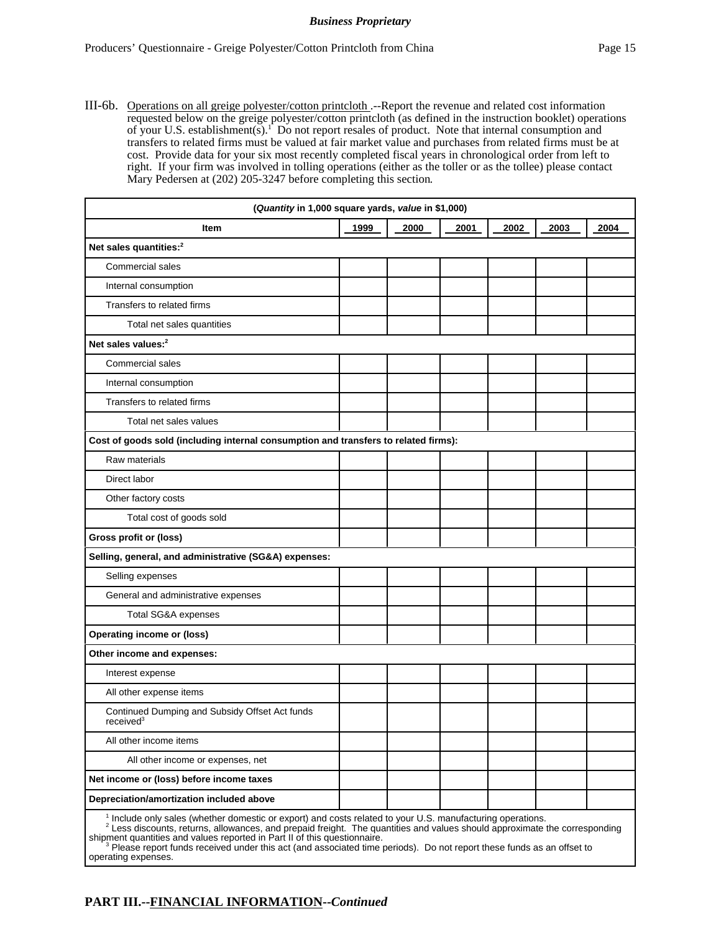III-6b. Operations on all greige polyester/cotton printcloth .--Report the revenue and related cost information requested below on the greige polyester/cotton printcloth (as defined in the instruction booklet) operations of your U.S. establishment(s).<sup>1</sup> Do not report resales of product. Note that internal consumption and transfers to related firms must be valued at fair market value and purchases from related firms must be at cost. Provide data for your six most recently completed fiscal years in chronological order from left to right. If your firm was involved in tolling operations (either as the toller or as the tollee) please contact Mary Pedersen at (202) 205-3247 before completing this section*.* 

| (Quantity in 1,000 square yards, value in \$1,000)                                                          |      |      |      |      |      |      |
|-------------------------------------------------------------------------------------------------------------|------|------|------|------|------|------|
| <b>Item</b>                                                                                                 | 1999 | 2000 | 2001 | 2002 | 2003 | 2004 |
| Net sales quantities: <sup>2</sup>                                                                          |      |      |      |      |      |      |
| Commercial sales                                                                                            |      |      |      |      |      |      |
| Internal consumption                                                                                        |      |      |      |      |      |      |
| Transfers to related firms                                                                                  |      |      |      |      |      |      |
| Total net sales quantities                                                                                  |      |      |      |      |      |      |
| Net sales values: <sup>2</sup>                                                                              |      |      |      |      |      |      |
| Commercial sales                                                                                            |      |      |      |      |      |      |
| Internal consumption                                                                                        |      |      |      |      |      |      |
| Transfers to related firms                                                                                  |      |      |      |      |      |      |
| Total net sales values                                                                                      |      |      |      |      |      |      |
| Cost of goods sold (including internal consumption and transfers to related firms):                         |      |      |      |      |      |      |
| Raw materials                                                                                               |      |      |      |      |      |      |
| Direct labor                                                                                                |      |      |      |      |      |      |
| Other factory costs                                                                                         |      |      |      |      |      |      |
| Total cost of goods sold                                                                                    |      |      |      |      |      |      |
| Gross profit or (loss)                                                                                      |      |      |      |      |      |      |
| Selling, general, and administrative (SG&A) expenses:                                                       |      |      |      |      |      |      |
| Selling expenses                                                                                            |      |      |      |      |      |      |
| General and administrative expenses                                                                         |      |      |      |      |      |      |
| Total SG&A expenses                                                                                         |      |      |      |      |      |      |
| <b>Operating income or (loss)</b>                                                                           |      |      |      |      |      |      |
| Other income and expenses:                                                                                  |      |      |      |      |      |      |
| Interest expense                                                                                            |      |      |      |      |      |      |
| All other expense items                                                                                     |      |      |      |      |      |      |
| Continued Dumping and Subsidy Offset Act funds<br>received <sup>3</sup>                                     |      |      |      |      |      |      |
| All other income items                                                                                      |      |      |      |      |      |      |
| All other income or expenses, net                                                                           |      |      |      |      |      |      |
| Net income or (loss) before income taxes                                                                    |      |      |      |      |      |      |
| Depreciation/amortization included above                                                                    |      |      |      |      |      |      |
| $1$ Include only sales (whether domestic or export) and costs related to your LLS, manufacturing operations |      |      |      |      |      |      |

<sup>1</sup> Include only sales (whether domestic or export) and costs related to your U.S. manufacturing operations.<br><sup>2</sup> Less discounts, returns, allowances, and prepaid freight. The quantities and values should approximate the c

shipment quantities and values reported in Part II of this questionnaire.<br><sup>3</sup> Please report funds received under this act (and associated time periods). Do not report these funds as an offset to

operating expenses.

# **PART III.--FINANCIAL INFORMATION--***Continued*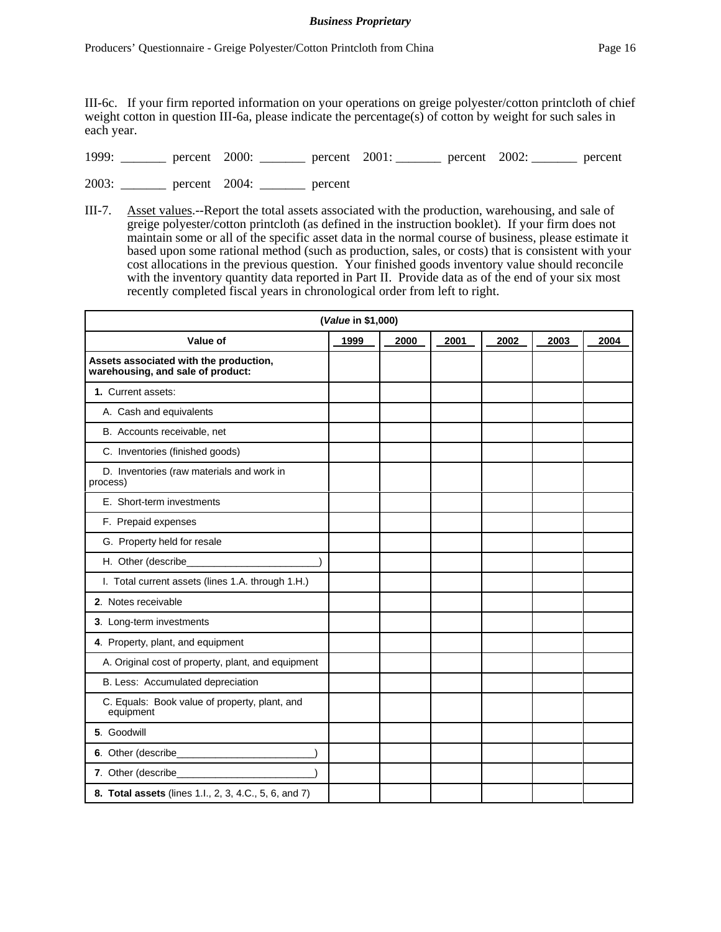III-6c. If your firm reported information on your operations on greige polyester/cotton printcloth of chief weight cotton in question III-6a, please indicate the percentage(s) of cotton by weight for such sales in each year.

|  | 1999: | percent | 2000: | percent | 2001: | percent 2002: |  | percent |
|--|-------|---------|-------|---------|-------|---------------|--|---------|
|--|-------|---------|-------|---------|-------|---------------|--|---------|

2003: \_\_\_\_\_\_\_ percent 2004: \_\_\_\_\_\_\_ percent

III-7. Asset values.--Report the total assets associated with the production, warehousing, and sale of greige polyester/cotton printcloth (as defined in the instruction booklet). If your firm does not maintain some or all of the specific asset data in the normal course of business, please estimate it based upon some rational method (such as production, sales, or costs) that is consistent with your cost allocations in the previous question. Your finished goods inventory value should reconcile with the inventory quantity data reported in Part II. Provide data as of the end of your six most recently completed fiscal years in chronological order from left to right.

|                                                                             | (Value in \$1,000) |      |      |      |      |      |
|-----------------------------------------------------------------------------|--------------------|------|------|------|------|------|
| Value of                                                                    | 1999               | 2000 | 2001 | 2002 | 2003 | 2004 |
| Assets associated with the production,<br>warehousing, and sale of product: |                    |      |      |      |      |      |
| 1. Current assets:                                                          |                    |      |      |      |      |      |
| A. Cash and equivalents                                                     |                    |      |      |      |      |      |
| B. Accounts receivable, net                                                 |                    |      |      |      |      |      |
| C. Inventories (finished goods)                                             |                    |      |      |      |      |      |
| D. Inventories (raw materials and work in<br>process)                       |                    |      |      |      |      |      |
| E. Short-term investments                                                   |                    |      |      |      |      |      |
| F. Prepaid expenses                                                         |                    |      |      |      |      |      |
| G. Property held for resale                                                 |                    |      |      |      |      |      |
| H. Other (describe_                                                         |                    |      |      |      |      |      |
| I. Total current assets (lines 1.A. through 1.H.)                           |                    |      |      |      |      |      |
| 2. Notes receivable                                                         |                    |      |      |      |      |      |
| 3. Long-term investments                                                    |                    |      |      |      |      |      |
| 4. Property, plant, and equipment                                           |                    |      |      |      |      |      |
| A. Original cost of property, plant, and equipment                          |                    |      |      |      |      |      |
| B. Less: Accumulated depreciation                                           |                    |      |      |      |      |      |
| C. Equals: Book value of property, plant, and<br>equipment                  |                    |      |      |      |      |      |
| 5. Goodwill                                                                 |                    |      |      |      |      |      |
|                                                                             |                    |      |      |      |      |      |
| 7. Other (describe_                                                         |                    |      |      |      |      |      |
| 8. Total assets (lines 1.l., 2, 3, 4.C., 5, 6, and 7)                       |                    |      |      |      |      |      |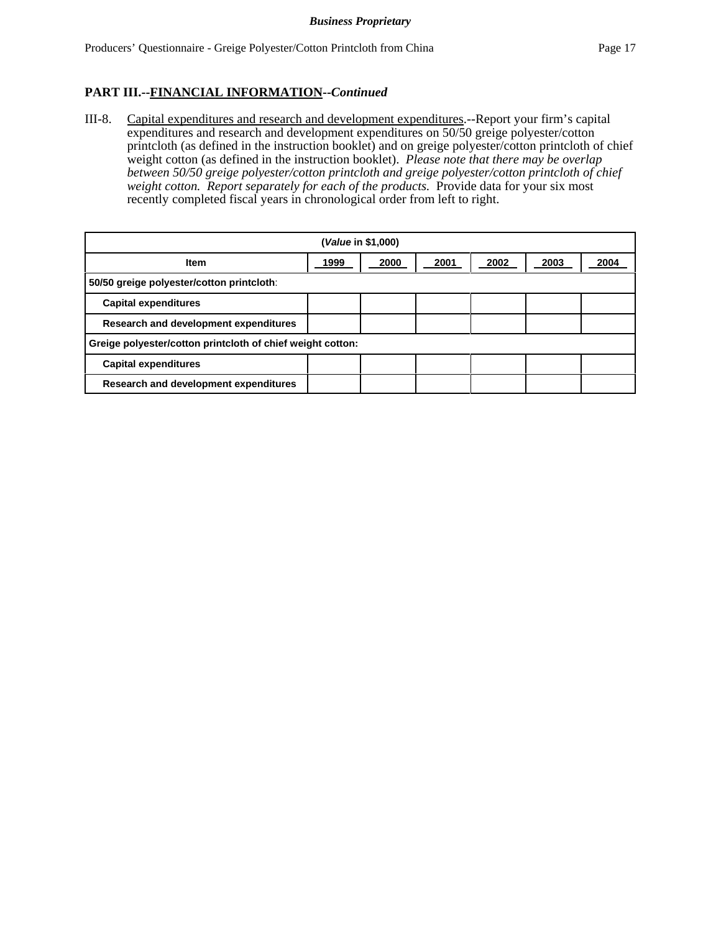# **PART III.--FINANCIAL INFORMATION--***Continued*

III-8. Capital expenditures and research and development expenditures.--Report your firm's capital expenditures and research and development expenditures on 50/50 greige polyester/cotton printcloth (as defined in the instruction booklet) and on greige polyester/cotton printcloth of chief weight cotton (as defined in the instruction booklet). *Please note that there may be overlap between 50/50 greige polyester/cotton printcloth and greige polyester/cotton printcloth of chief* weight cotton. Report separately for each of the products. Provide data for your six most recently completed fiscal years in chronological order from left to right.

| ( <i>Value</i> in \$1,000)                                 |      |      |      |      |      |      |
|------------------------------------------------------------|------|------|------|------|------|------|
| <b>Item</b>                                                | 1999 | 2000 | 2001 | 2002 | 2003 | 2004 |
| 50/50 greige polyester/cotton printcloth:                  |      |      |      |      |      |      |
| <b>Capital expenditures</b>                                |      |      |      |      |      |      |
| Research and development expenditures                      |      |      |      |      |      |      |
| Greige polyester/cotton printcloth of chief weight cotton: |      |      |      |      |      |      |
| <b>Capital expenditures</b>                                |      |      |      |      |      |      |
| Research and development expenditures                      |      |      |      |      |      |      |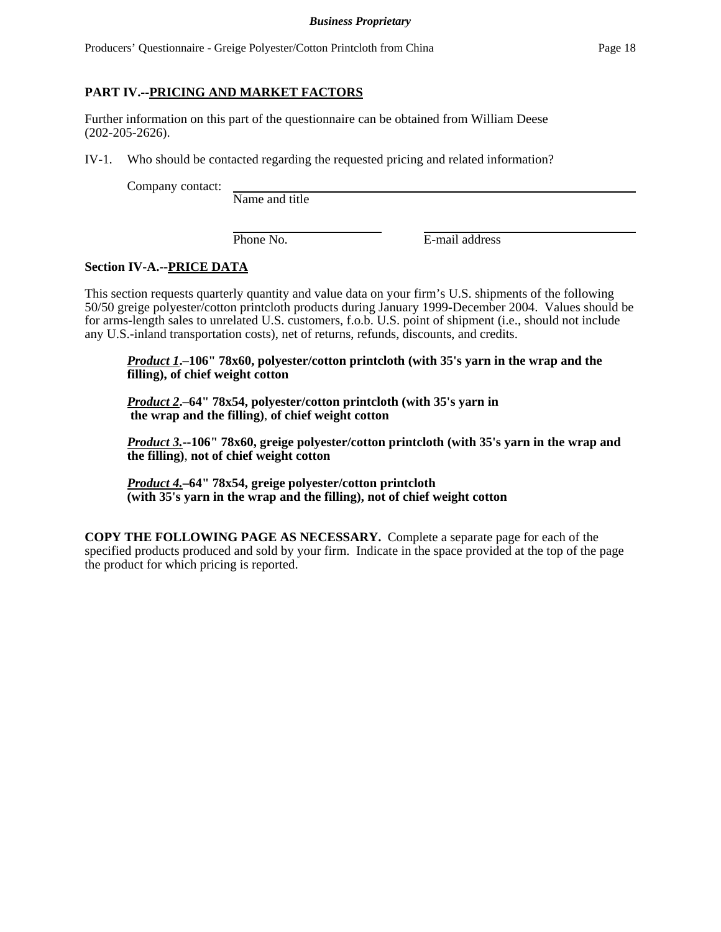## **PART IV.--PRICING AND MARKET FACTORS**

Further information on this part of the questionnaire can be obtained from William Deese (202-205-2626).

IV-1. Who should be contacted regarding the requested pricing and related information?

Company contact:

Name and title

Phone No. **E**-mail address

## **Section IV-A.--PRICE DATA**

This section requests quarterly quantity and value data on your firm's U.S. shipments of the following 50/50 greige polyester/cotton printcloth products during January 1999-December 2004. Values should be for arms-length sales to unrelated U.S. customers, f.o.b. U.S. point of shipment (i.e., should not include any U.S.-inland transportation costs), net of returns, refunds, discounts, and credits.

*Product 1***.–106" 78x60, polyester/cotton printcloth (with 35's yarn in the wrap and the filling), of chief weight cotton**

*Product 2***.–64" 78x54, polyester/cotton printcloth (with 35's yarn in the wrap and the filling)**, **of chief weight cotton**

*Product 3.***--106" 78x60, greige polyester/cotton printcloth (with 35's yarn in the wrap and the filling)**, **not of chief weight cotton**

*Product 4.***–64" 78x54, greige polyester/cotton printcloth (with 35's yarn in the wrap and the filling), not of chief weight cotton**

**COPY THE FOLLOWING PAGE AS NECESSARY.** Complete a separate page for each of the specified products produced and sold by your firm. Indicate in the space provided at the top of the page the product for which pricing is reported.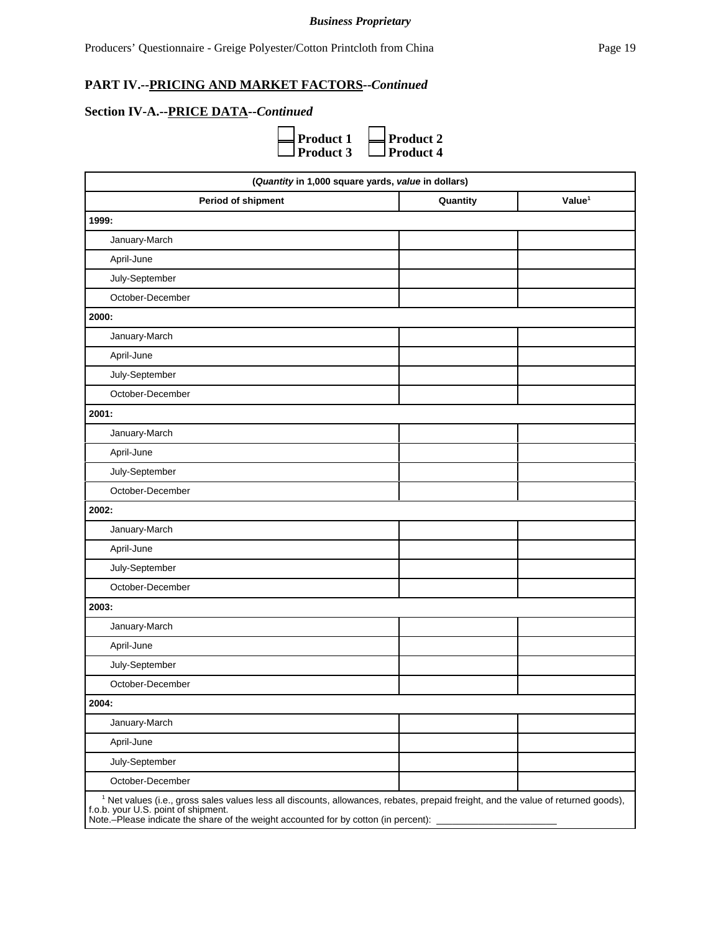# **PART IV.--PRICING AND MARKET FACTORS--***Continued*

# **Section IV-A.--PRICE DATA--***Continued*



| (Quantity in 1,000 square yards, value in dollars)                                                                                                                                                                                                                          |          |                    |
|-----------------------------------------------------------------------------------------------------------------------------------------------------------------------------------------------------------------------------------------------------------------------------|----------|--------------------|
| Period of shipment                                                                                                                                                                                                                                                          | Quantity | Value <sup>1</sup> |
| 1999:                                                                                                                                                                                                                                                                       |          |                    |
| January-March                                                                                                                                                                                                                                                               |          |                    |
| April-June                                                                                                                                                                                                                                                                  |          |                    |
| July-September                                                                                                                                                                                                                                                              |          |                    |
| October-December                                                                                                                                                                                                                                                            |          |                    |
| 2000:                                                                                                                                                                                                                                                                       |          |                    |
| January-March                                                                                                                                                                                                                                                               |          |                    |
| April-June                                                                                                                                                                                                                                                                  |          |                    |
| July-September                                                                                                                                                                                                                                                              |          |                    |
| October-December                                                                                                                                                                                                                                                            |          |                    |
| 2001:                                                                                                                                                                                                                                                                       |          |                    |
| January-March                                                                                                                                                                                                                                                               |          |                    |
| April-June                                                                                                                                                                                                                                                                  |          |                    |
| July-September                                                                                                                                                                                                                                                              |          |                    |
| October-December                                                                                                                                                                                                                                                            |          |                    |
| 2002:                                                                                                                                                                                                                                                                       |          |                    |
| January-March                                                                                                                                                                                                                                                               |          |                    |
| April-June                                                                                                                                                                                                                                                                  |          |                    |
| July-September                                                                                                                                                                                                                                                              |          |                    |
| October-December                                                                                                                                                                                                                                                            |          |                    |
| 2003:                                                                                                                                                                                                                                                                       |          |                    |
| January-March                                                                                                                                                                                                                                                               |          |                    |
| April-June                                                                                                                                                                                                                                                                  |          |                    |
| July-September                                                                                                                                                                                                                                                              |          |                    |
| October-December                                                                                                                                                                                                                                                            |          |                    |
| 2004:                                                                                                                                                                                                                                                                       |          |                    |
| January-March                                                                                                                                                                                                                                                               |          |                    |
| April-June                                                                                                                                                                                                                                                                  |          |                    |
| July-September                                                                                                                                                                                                                                                              |          |                    |
| October-December                                                                                                                                                                                                                                                            |          |                    |
| <sup>1</sup> Net values (i.e., gross sales values less all discounts, allowances, rebates, prepaid freight, and the value of returned goods),<br>f.o.b. your U.S. point of shipment.<br>Note.-Please indicate the share of the weight accounted for by cotton (in percent): |          |                    |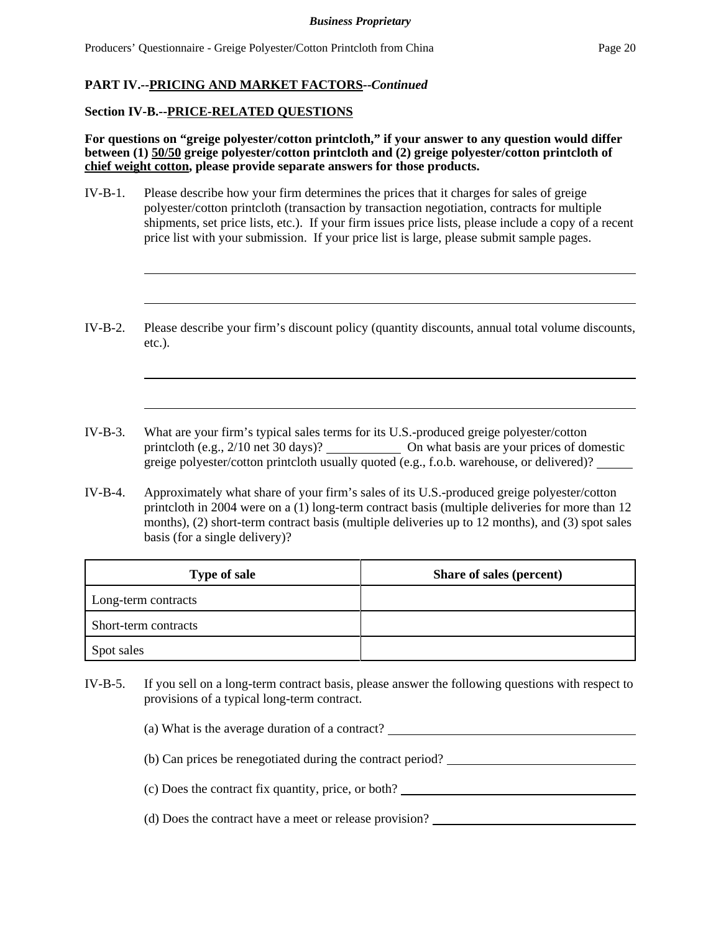# **PART IV.--PRICING AND MARKET FACTORS--***Continued*

### **Section IV-B.--PRICE-RELATED QUESTIONS**

**For questions on "greige polyester/cotton printcloth," if your answer to any question would differ between (1) 50/50 greige polyester/cotton printcloth and (2) greige polyester/cotton printcloth of chief weight cotton, please provide separate answers for those products.**

- IV-B-1. Please describe how your firm determines the prices that it charges for sales of greige polyester/cotton printcloth (transaction by transaction negotiation, contracts for multiple shipments, set price lists, etc.). If your firm issues price lists, please include a copy of a recent price list with your submission. If your price list is large, please submit sample pages.
- IV-B-2. Please describe your firm's discount policy (quantity discounts, annual total volume discounts, etc.).
- IV-B-3. What are your firm's typical sales terms for its U.S.-produced greige polyester/cotton printcloth (e.g., 2/10 net 30 days)? On what basis are your prices of domestic greige polyester/cotton printcloth usually quoted (e.g., f.o.b. warehouse, or delivered)?
- IV-B-4. Approximately what share of your firm's sales of its U.S.-produced greige polyester/cotton printcloth in 2004 were on a (1) long-term contract basis (multiple deliveries for more than 12 months), (2) short-term contract basis (multiple deliveries up to 12 months), and (3) spot sales basis (for a single delivery)?

| <b>Type of sale</b>  | Share of sales (percent) |
|----------------------|--------------------------|
| Long-term contracts  |                          |
| Short-term contracts |                          |
| Spot sales           |                          |

- IV-B-5. If you sell on a long-term contract basis, please answer the following questions with respect to provisions of a typical long-term contract.
	- (a) What is the average duration of a contract?
	- (b) Can prices be renegotiated during the contract period?
	- (c) Does the contract fix quantity, price, or both?
	- (d) Does the contract have a meet or release provision?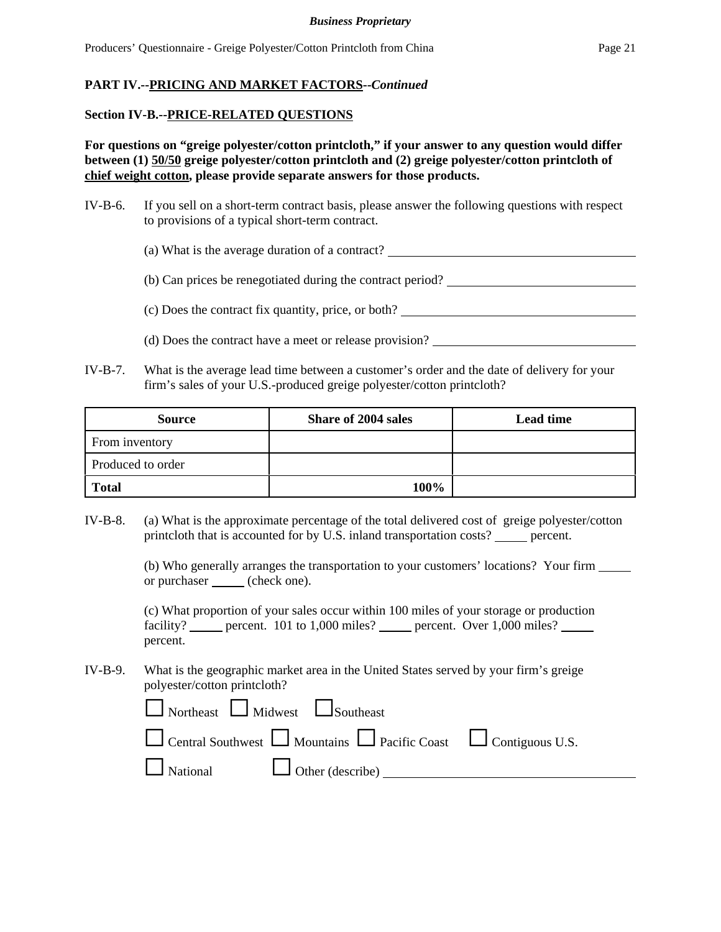### **Section IV-B.--PRICE-RELATED QUESTIONS**

**For questions on "greige polyester/cotton printcloth," if your answer to any question would differ between (1) 50/50 greige polyester/cotton printcloth and (2) greige polyester/cotton printcloth of chief weight cotton, please provide separate answers for those products.**

- IV-B-6. If you sell on a short-term contract basis, please answer the following questions with respect to provisions of a typical short-term contract.
	- (a) What is the average duration of a contract?

(b) Can prices be renegotiated during the contract period?

(c) Does the contract fix quantity, price, or both?

(d) Does the contract have a meet or release provision?

IV-B-7. What is the average lead time between a customer's order and the date of delivery for your firm's sales of your U.S.-produced greige polyester/cotton printcloth?

| <b>Source</b>     | <b>Share of 2004 sales</b> | <b>Lead time</b> |
|-------------------|----------------------------|------------------|
| From inventory    |                            |                  |
| Produced to order |                            |                  |
| <b>Total</b>      | 100%                       |                  |

IV-B-8. (a) What is the approximate percentage of the total delivered cost of greige polyester/cotton printcloth that is accounted for by U.S. inland transportation costs? \_\_\_\_\_ percent.

> (b) Who generally arranges the transportation to your customers' locations? Your firm or purchaser (check one).

(c) What proportion of your sales occur within 100 miles of your storage or production facility? percent. 101 to 1,000 miles? percent. Over 1,000 miles? percent.

IV-B-9. What is the geographic market area in the United States served by your firm's greige polyester/cotton printcloth?

| $\Box$ Northeast $\Box$ Midwest $\Box$ Southeast                                      |  |
|---------------------------------------------------------------------------------------|--|
| $\Box$ Central Southwest $\Box$ Mountains $\Box$ Pacific Coast $\Box$ Contiguous U.S. |  |
| $\Box$ National $\Box$ Other (describe) $\Box$                                        |  |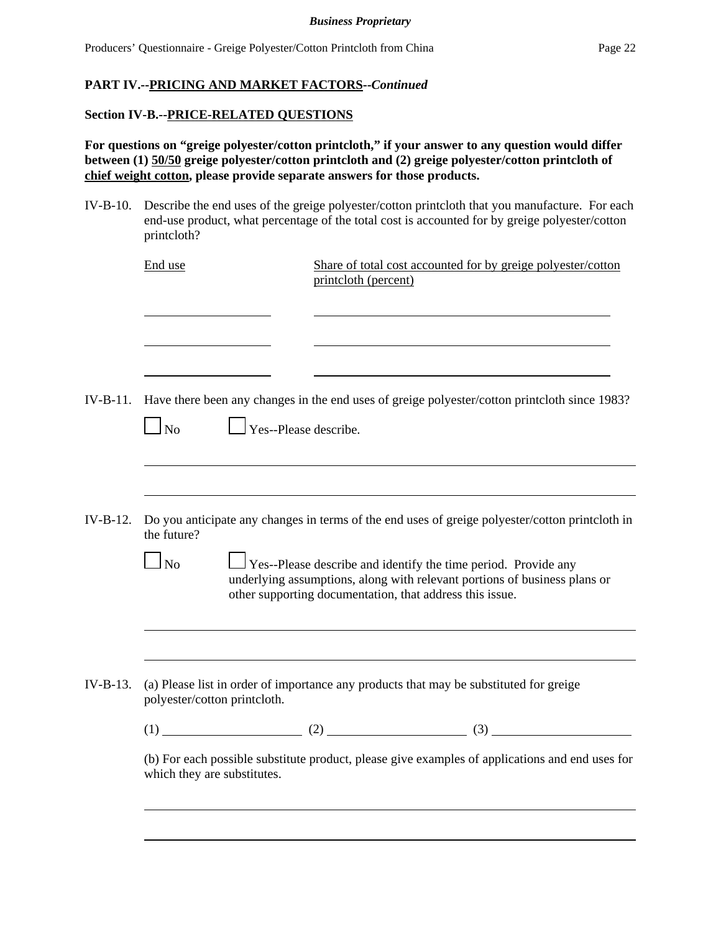### **Section IV-B.--PRICE-RELATED QUESTIONS**

**For questions on "greige polyester/cotton printcloth," if your answer to any question would differ between (1) 50/50 greige polyester/cotton printcloth and (2) greige polyester/cotton printcloth of chief weight cotton, please provide separate answers for those products.**

IV-B-10. Describe the end uses of the greige polyester/cotton printcloth that you manufacture. For each end-use product, what percentage of the total cost is accounted for by greige polyester/cotton printcloth?

| End use                   | printcloth (percent)                                     | Share of total cost accounted for by greige polyester/cotton                                                                                       |
|---------------------------|----------------------------------------------------------|----------------------------------------------------------------------------------------------------------------------------------------------------|
|                           |                                                          |                                                                                                                                                    |
| $IV-B-11.$<br>$\Box$ No   | $\Box$ Yes--Please describe.                             | Have there been any changes in the end uses of greige polyester/cotton printcloth since 1983?                                                      |
| $IV-B-12.$<br>the future? |                                                          | Do you anticipate any changes in terms of the end uses of greige polyester/cotton printcloth in                                                    |
| $\Box$ No                 | other supporting documentation, that address this issue. | $\Box$ Yes--Please describe and identify the time period. Provide any<br>underlying assumptions, along with relevant portions of business plans or |
|                           |                                                          | (a) Please list in order of importance any products that may be substituted for greige                                                             |
| $IV-B-13.$                | polyester/cotton printcloth.                             |                                                                                                                                                    |
|                           |                                                          |                                                                                                                                                    |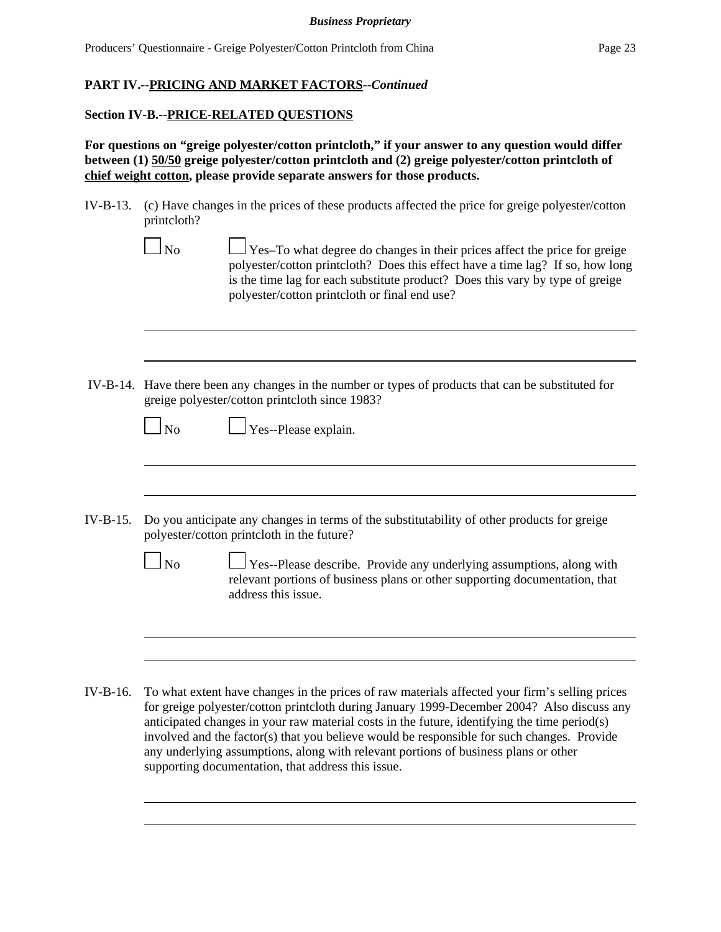### **Section IV-B.--PRICE-RELATED QUESTIONS**

**For questions on "greige polyester/cotton printcloth," if your answer to any question would differ between (1) 50/50 greige polyester/cotton printcloth and (2) greige polyester/cotton printcloth of chief weight cotton, please provide separate answers for those products.**

- IV-B-13. (c) Have changes in the prices of these products affected the price for greige polyester/cotton printcloth?
	- No Yes–To what degree do changes in their prices affect the price for greige polyester/cotton printcloth? Does this effect have a time lag? If so, how long is the time lag for each substitute product? Does this vary by type of greige polyester/cotton printcloth or final end use?
- IV-B-14. Have there been any changes in the number or types of products that can be substituted for greige polyester/cotton printcloth since 1983?

| $\Omega$<br>ı |  |
|---------------|--|
| v<br>×        |  |

 $\Box$  Yes--Please explain.

- IV-B-15. Do you anticipate any changes in terms of the substitutability of other products for greige polyester/cotton printcloth in the future?
	- $\Box$  Yes--Please describe. Provide any underlying assumptions, along with relevant portions of business plans or other supporting documentation, that address this issue.
- IV-B-16. To what extent have changes in the prices of raw materials affected your firm's selling prices for greige polyester/cotton printcloth during January 1999-December 2004? Also discuss any anticipated changes in your raw material costs in the future, identifying the time period(s) involved and the factor(s) that you believe would be responsible for such changes. Provide any underlying assumptions, along with relevant portions of business plans or other supporting documentation, that address this issue.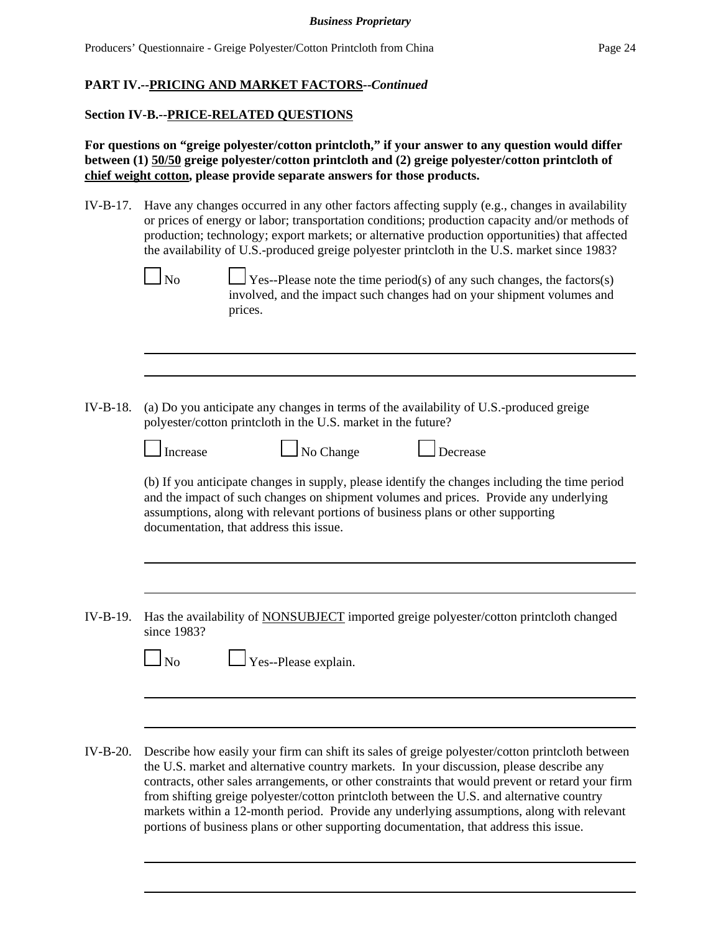### **Section IV-B.--PRICE-RELATED QUESTIONS**

**For questions on "greige polyester/cotton printcloth," if your answer to any question would differ between (1) 50/50 greige polyester/cotton printcloth and (2) greige polyester/cotton printcloth of chief weight cotton, please provide separate answers for those products.**

IV-B-17. Have any changes occurred in any other factors affecting supply (e.g., changes in availability or prices of energy or labor; transportation conditions; production capacity and/or methods of production; technology; export markets; or alternative production opportunities) that affected the availability of U.S.-produced greige polyester printcloth in the U.S. market since 1983?

 $\Box$  No  $\Box$  Yes--Please note the time period(s) of any such changes, the factors(s) involved, and the impact such changes had on your shipment volumes and prices.

IV-B-18. (a) Do you anticipate any changes in terms of the availability of U.S.-produced greige polyester/cotton printcloth in the U.S. market in the future?

| Increase | $\Box$ No Change | <u>L</u> Decrease |
|----------|------------------|-------------------|
|          |                  |                   |

|  | Decreas |
|--|---------|

(b) If you anticipate changes in supply, please identify the changes including the time period and the impact of such changes on shipment volumes and prices. Provide any underlying assumptions, along with relevant portions of business plans or other supporting documentation, that address this issue.

IV-B-19. Has the availability of NONSUBJECT imported greige polyester/cotton printcloth changed since 1983?

|--|

 $\Box$  Yes--Please explain.

IV-B-20. Describe how easily your firm can shift its sales of greige polyester/cotton printcloth between the U.S. market and alternative country markets. In your discussion, please describe any contracts, other sales arrangements, or other constraints that would prevent or retard your firm from shifting greige polyester/cotton printcloth between the U.S. and alternative country markets within a 12-month period. Provide any underlying assumptions, along with relevant portions of business plans or other supporting documentation, that address this issue.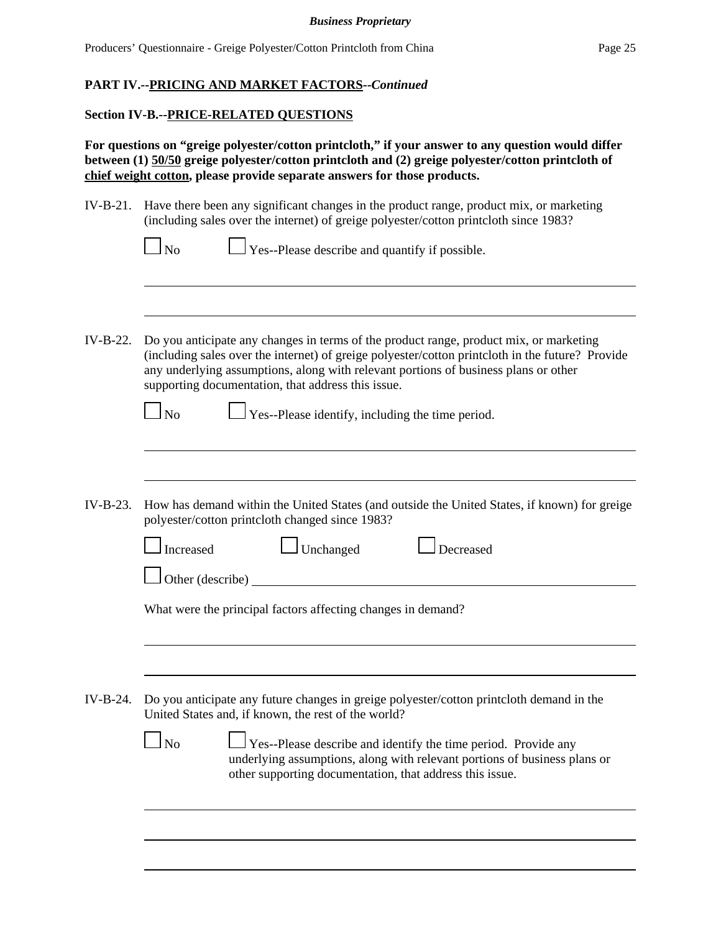### **Section IV-B.--PRICE-RELATED QUESTIONS**

**For questions on "greige polyester/cotton printcloth," if your answer to any question would differ between (1) 50/50 greige polyester/cotton printcloth and (2) greige polyester/cotton printcloth of chief weight cotton, please provide separate answers for those products.**

IV-B-21. Have there been any significant changes in the product range, product mix, or marketing (including sales over the internet) of greige polyester/cotton printcloth since 1983?

|  | $\Box$ No |  | $\Box$ Yes--Please describe and quantify if possible. |
|--|-----------|--|-------------------------------------------------------|
|--|-----------|--|-------------------------------------------------------|

IV-B-22. Do you anticipate any changes in terms of the product range, product mix, or marketing (including sales over the internet) of greige polyester/cotton printcloth in the future? Provide any underlying assumptions, along with relevant portions of business plans or other supporting documentation, that address this issue.

|--|

 $\Box$  Yes--Please identify, including the time period.

IV-B-23. How has demand within the United States (and outside the United States, if known) for greige polyester/cotton printcloth changed since 1983?

|          | Increased        | Unchanged                                                    | ecreased                                                                                                                                           |  |
|----------|------------------|--------------------------------------------------------------|----------------------------------------------------------------------------------------------------------------------------------------------------|--|
|          | Other (describe) |                                                              |                                                                                                                                                    |  |
|          |                  | What were the principal factors affecting changes in demand? |                                                                                                                                                    |  |
|          |                  |                                                              |                                                                                                                                                    |  |
| IV-B-24. |                  | United States and, if known, the rest of the world?          | Do you anticipate any future changes in greige polyester/cotton printcloth demand in the                                                           |  |
|          |                  | other supporting documentation, that address this issue.     | $\Box$ Yes--Please describe and identify the time period. Provide any<br>underlying assumptions, along with relevant portions of business plans or |  |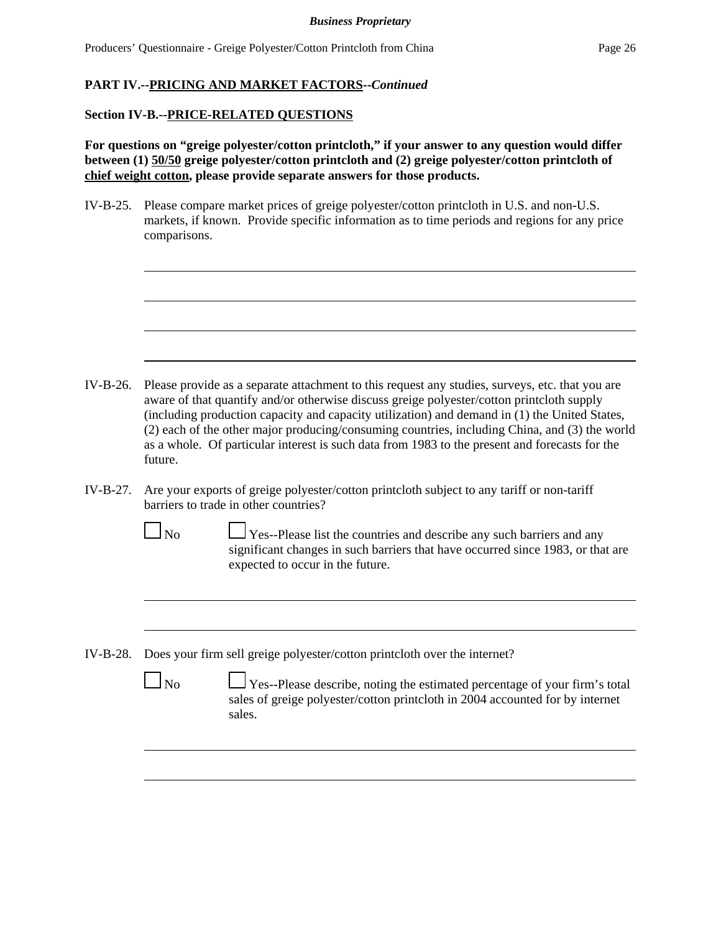# **PART IV.--PRICING AND MARKET FACTORS--***Continued*

### **Section IV-B.--PRICE-RELATED QUESTIONS**

**For questions on "greige polyester/cotton printcloth," if your answer to any question would differ between (1) 50/50 greige polyester/cotton printcloth and (2) greige polyester/cotton printcloth of chief weight cotton, please provide separate answers for those products.**

IV-B-25. Please compare market prices of greige polyester/cotton printcloth in U.S. and non-U.S. markets, if known. Provide specific information as to time periods and regions for any price comparisons.

- IV-B-26. Please provide as a separate attachment to this request any studies, surveys, etc. that you are aware of that quantify and/or otherwise discuss greige polyester/cotton printcloth supply (including production capacity and capacity utilization) and demand in (1) the United States, (2) each of the other major producing/consuming countries, including China, and (3) the world as a whole. Of particular interest is such data from 1983 to the present and forecasts for the future.
- IV-B-27. Are your exports of greige polyester/cotton printcloth subject to any tariff or non-tariff barriers to trade in other countries?
	-

 $\Box$  No  $\Box$  Yes--Please list the countries and describe any such barriers and any significant changes in such barriers that have occurred since 1983, or that are expected to occur in the future.

IV-B-28. Does your firm sell greige polyester/cotton printcloth over the internet?

|--|

 $\Box$  Yes--Please describe, noting the estimated percentage of your firm's total sales of greige polyester/cotton printcloth in 2004 accounted for by internet sales.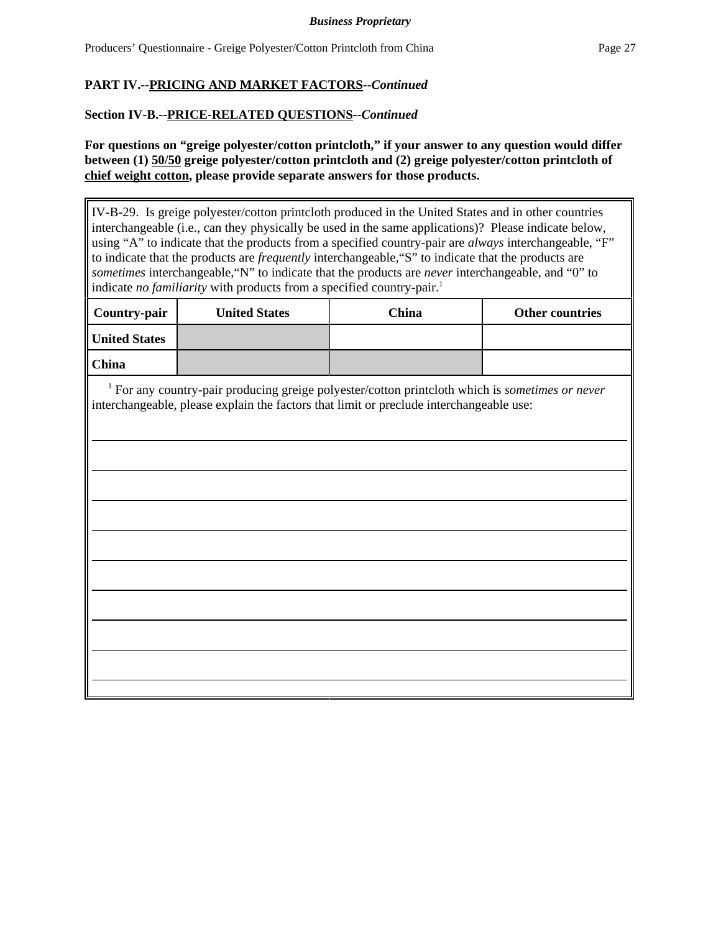# **PART IV.--PRICING AND MARKET FACTORS--***Continued*

### **Section IV-B.--PRICE-RELATED QUESTIONS--***Continued*

**For questions on "greige polyester/cotton printcloth," if your answer to any question would differ between (1) 50/50 greige polyester/cotton printcloth and (2) greige polyester/cotton printcloth of chief weight cotton, please provide separate answers for those products.**

IV-B-29. Is greige polyester/cotton printcloth produced in the United States and in other countries interchangeable (i.e., can they physically be used in the same applications)? Please indicate below, using "A" to indicate that the products from a specified country-pair are *always* interchangeable, "F" to indicate that the products are *frequently* interchangeable,"S" to indicate that the products are *sometimes* interchangeable,"N" to indicate that the products are *never* interchangeable, and "0" to indicate *no familiarity* with products from a specified country-pair.<sup>1</sup>

| <b>Country-pair</b>  | <b>United States</b> | China | Other countries |
|----------------------|----------------------|-------|-----------------|
| <b>United States</b> |                      |       |                 |
| China                |                      |       |                 |

 1 For any country-pair producing greige polyester/cotton printcloth which is *sometimes or never* interchangeable, please explain the factors that limit or preclude interchangeable use: